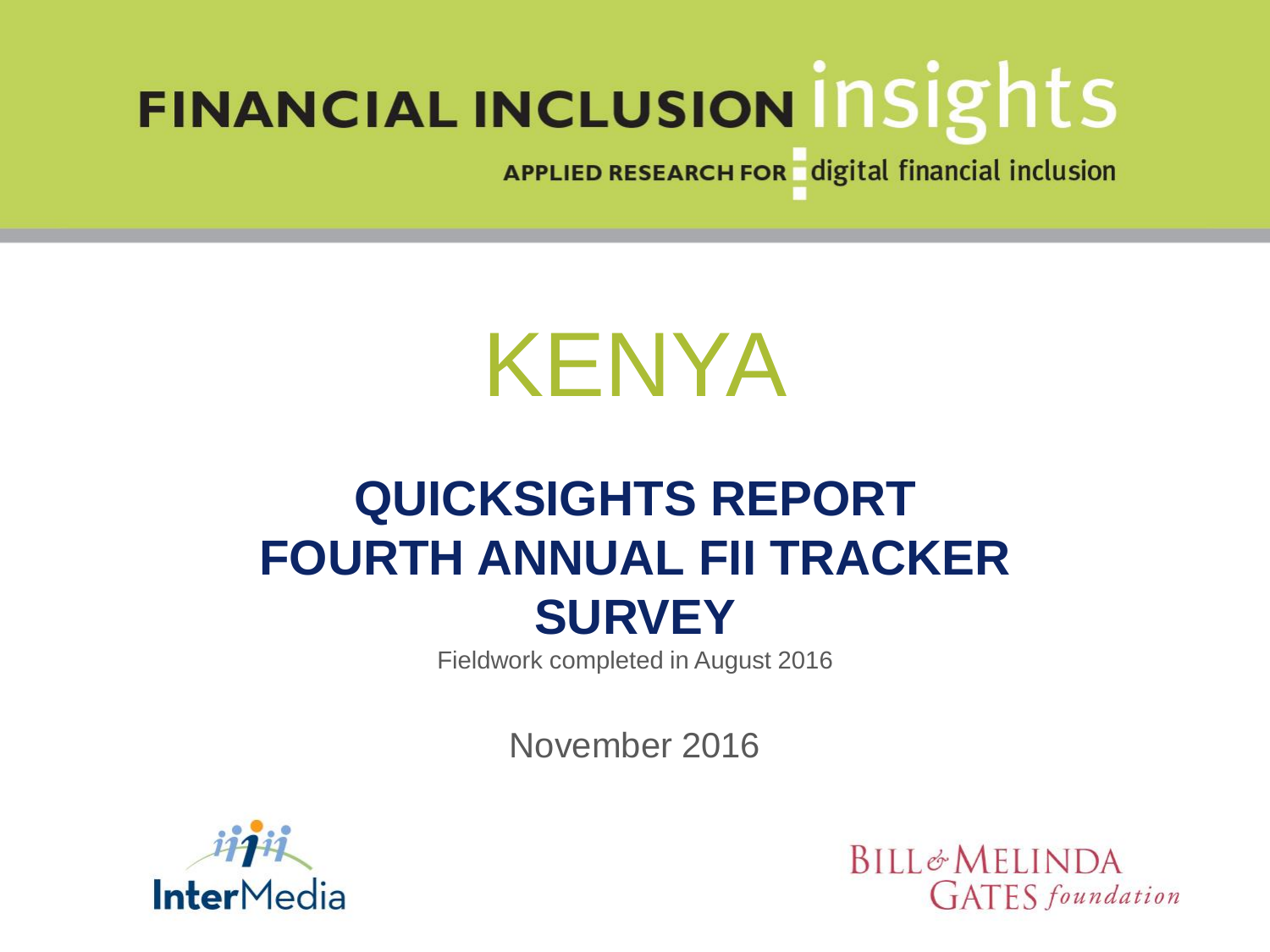APPLIED RESEARCH FOR digital financial inclusion

# KENYA

# **QUICKSIGHTS REPORT FOURTH ANNUAL FII TRACKER SURVEY**

Fieldwork completed in August 2016

November 2016



**BILL&MELINDA GATES** foundation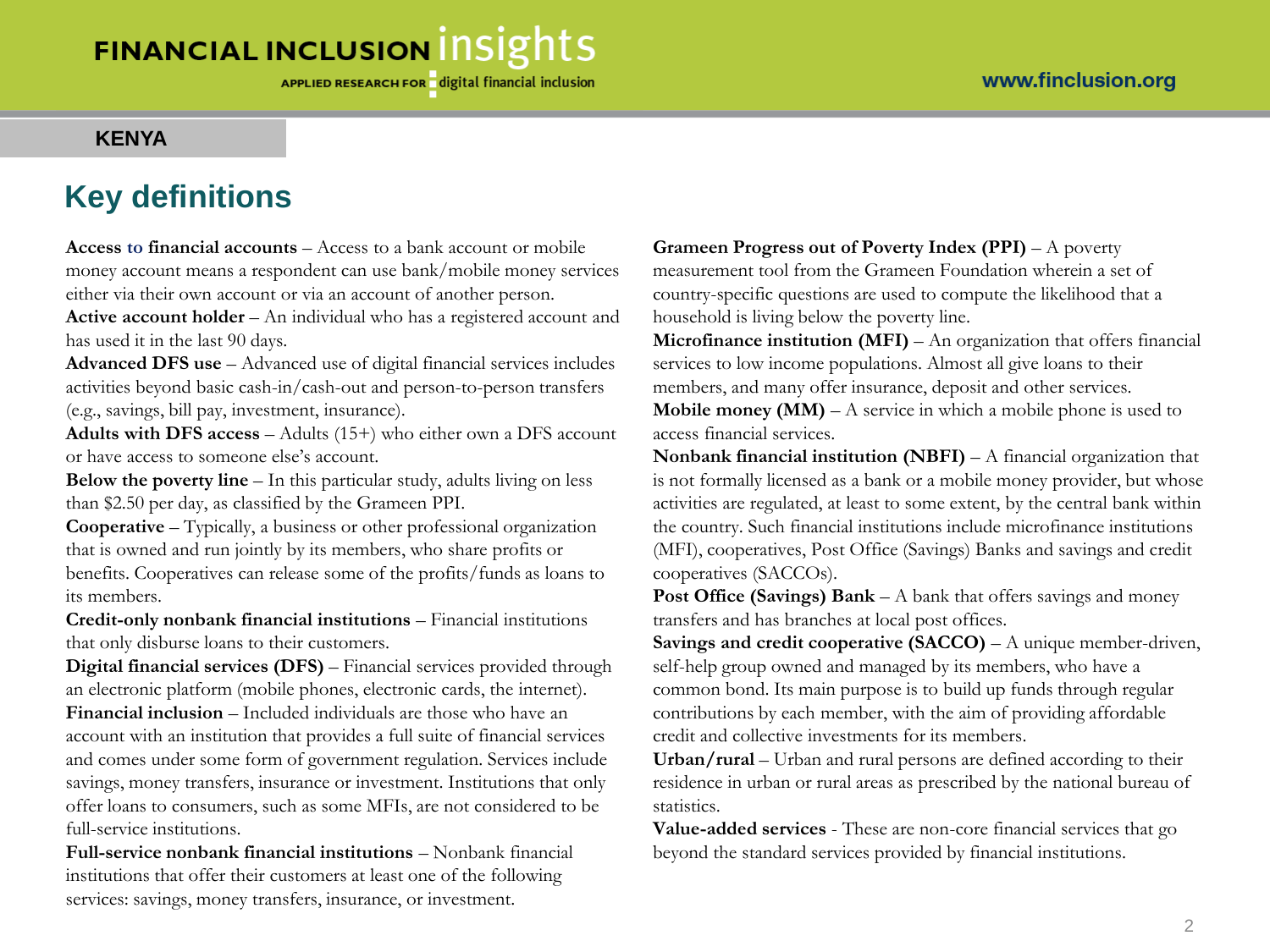APPLIED RESEARCH FOR digital financial inclusion

#### **KENYA**

### **Key definitions**

**Access to financial accounts** – Access to a bank account or mobile money account means a respondent can use bank/mobile money services either via their own account or via an account of another person.

**Active account holder** – An individual who has a registered account and has used it in the last 90 days.

**Advanced DFS use** – Advanced use of digital financial services includes activities beyond basic cash-in/cash-out and person-to-person transfers (e.g., savings, bill pay, investment, insurance).

**Adults with DFS access** – Adults (15+) who either own a DFS account or have access to someone else's account.

**Below the poverty line** – In this particular study, adults living on less than \$2.50 per day, as classified by the Grameen PPI.

**Cooperative** – Typically, a business or other professional organization that is owned and run jointly by its members, who share profits or benefits. Cooperatives can release some of the profits/funds as loans to its members.

**Credit-only nonbank financial institutions** – Financial institutions that only disburse loans to their customers.

**Digital financial services (DFS)** – Financial services provided through an electronic platform (mobile phones, electronic cards, the internet). **Financial inclusion** – Included individuals are those who have an account with an institution that provides a full suite of financial services

and comes under some form of government regulation. Services include savings, money transfers, insurance or investment. Institutions that only offer loans to consumers, such as some MFIs, are not considered to be full-service institutions.

**Full-service nonbank financial institutions** – Nonbank financial institutions that offer their customers at least one of the following services: savings, money transfers, insurance, or investment.

**Grameen Progress out of Poverty Index (PPI)** – A poverty measurement tool from the Grameen Foundation wherein a set of country-specific questions are used to compute the likelihood that a household is living below the poverty line.

**Microfinance institution (MFI)** – An organization that offers financial services to low income populations. Almost all give loans to their members, and many offer insurance, deposit and other services.

**Mobile money (MM)** – A service in which a mobile phone is used to access financial services.

**Nonbank financial institution (NBFI)** – A financial organization that is not formally licensed as a bank or a mobile money provider, but whose activities are regulated, at least to some extent, by the central bank within the country. Such financial institutions include microfinance institutions (MFI), cooperatives, Post Office (Savings) Banks and savings and credit cooperatives (SACCOs).

**Post Office (Savings) Bank** – A bank that offers savings and money transfers and has branches at local post offices.

**Savings and credit cooperative (SACCO)** – A unique member-driven, self-help group owned and managed by its members, who have a common bond. Its main purpose is to build up funds through regular contributions by each member, with the aim of providing affordable credit and collective investments for its members.

**Urban/rural** – Urban and rural persons are defined according to their residence in urban or rural areas as prescribed by the national bureau of statistics.

**Value-added services** - These are non-core financial services that go beyond the standard services provided by financial institutions.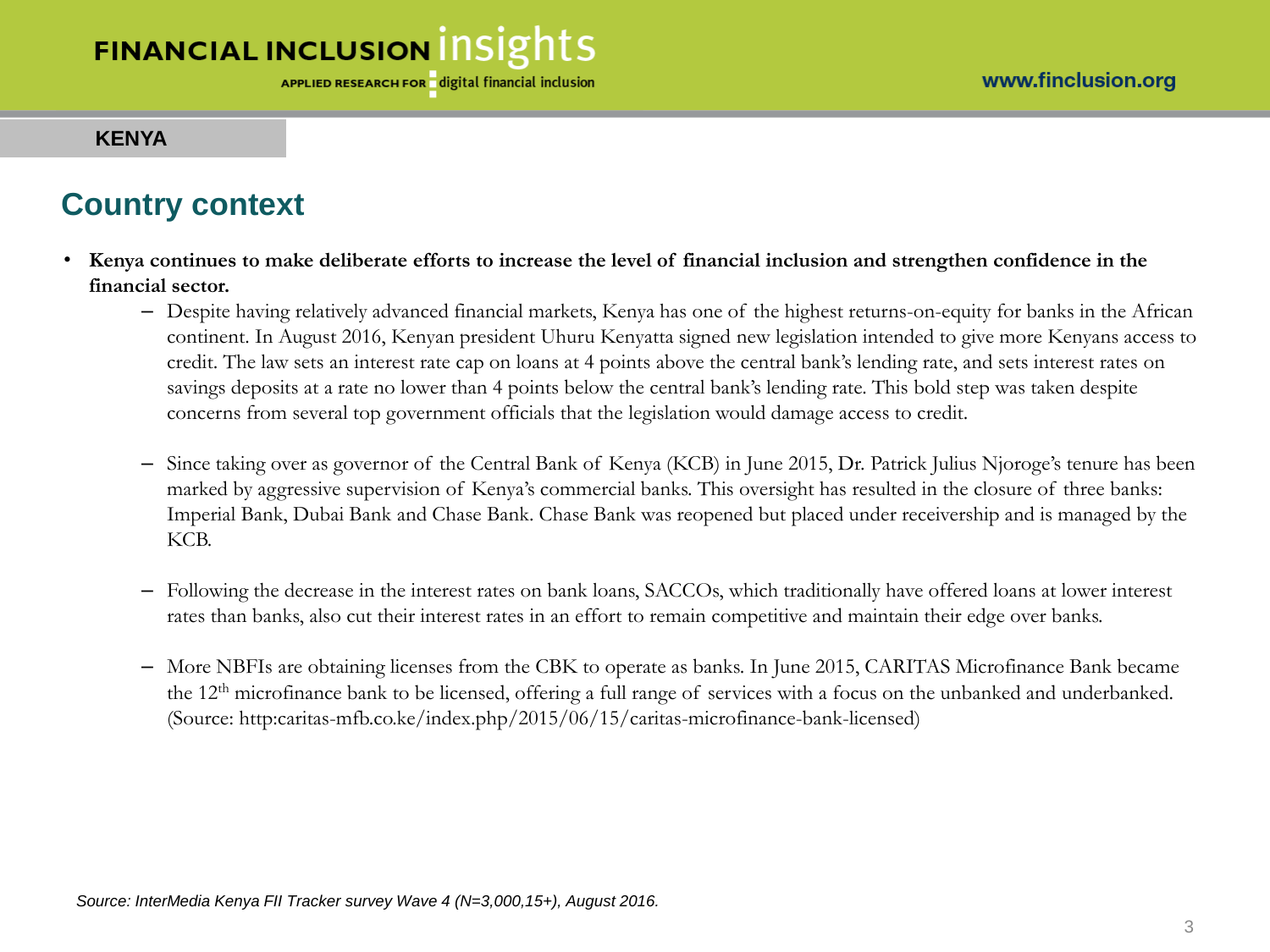#### **KENYA**

### **Country context**

- **Kenya continues to make deliberate efforts to increase the level of financial inclusion and strengthen confidence in the financial sector.** 
	- Despite having relatively advanced financial markets, Kenya has one of the highest returns-on-equity for banks in the African continent. In August 2016, Kenyan president Uhuru Kenyatta signed new legislation intended to give more Kenyans access to credit. The law sets an interest rate cap on loans at 4 points above the central bank's lending rate, and sets interest rates on savings deposits at a rate no lower than 4 points below the central bank's lending rate. This bold step was taken despite concerns from several top government officials that the legislation would damage access to credit.
	- Since taking over as governor of the Central Bank of Kenya (KCB) in June 2015, Dr. Patrick Julius Njoroge's tenure has been marked by aggressive supervision of Kenya's commercial banks. This oversight has resulted in the closure of three banks: Imperial Bank, Dubai Bank and Chase Bank. Chase Bank was reopened but placed under receivership and is managed by the KCB.
	- Following the decrease in the interest rates on bank loans, SACCOs, which traditionally have offered loans at lower interest rates than banks, also cut their interest rates in an effort to remain competitive and maintain their edge over banks.
	- More NBFIs are obtaining licenses from the CBK to operate as banks. In June 2015, CARITAS Microfinance Bank became the 12<sup>th</sup> microfinance bank to be licensed, offering a full range of services with a focus on the unbanked and underbanked. (Source: http:caritas-mfb.co.ke/index.php/2015/06/15/caritas-microfinance-bank-licensed)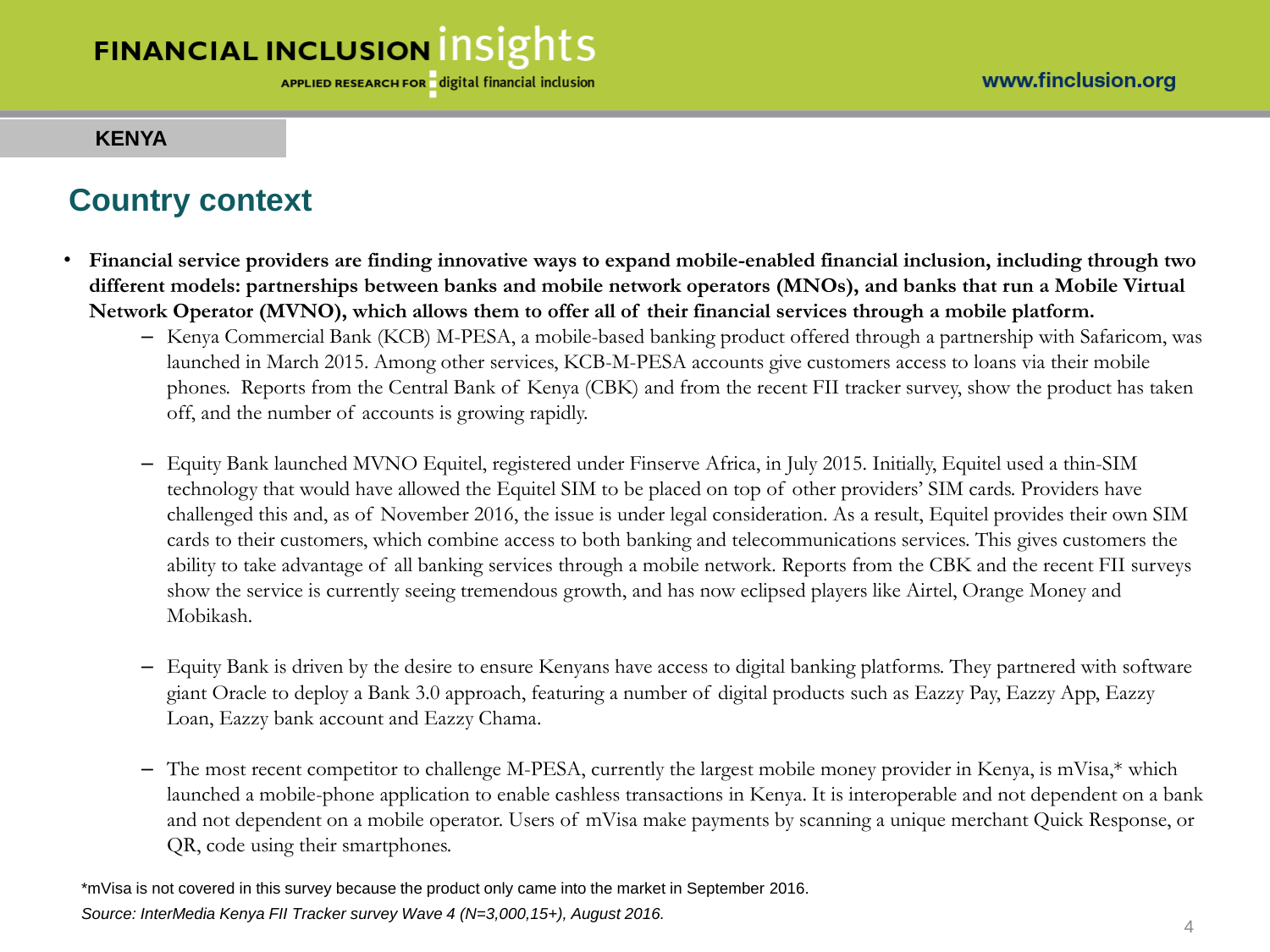#### **KENYA**

### **Country context**

- **Financial service providers are finding innovative ways to expand mobile-enabled financial inclusion, including through two different models: partnerships between banks and mobile network operators (MNOs), and banks that run a Mobile Virtual Network Operator (MVNO), which allows them to offer all of their financial services through a mobile platform.**
	- Kenya Commercial Bank (KCB) M-PESA, a mobile-based banking product offered through a partnership with Safaricom, was launched in March 2015. Among other services, KCB-M-PESA accounts give customers access to loans via their mobile phones. Reports from the Central Bank of Kenya (CBK) and from the recent FII tracker survey, show the product has taken off, and the number of accounts is growing rapidly.
	- Equity Bank launched MVNO Equitel, registered under Finserve Africa, in July 2015. Initially, Equitel used a thin-SIM technology that would have allowed the Equitel SIM to be placed on top of other providers' SIM cards. Providers have challenged this and, as of November 2016, the issue is under legal consideration. As a result, Equitel provides their own SIM cards to their customers, which combine access to both banking and telecommunications services. This gives customers the ability to take advantage of all banking services through a mobile network. Reports from the CBK and the recent FII surveys show the service is currently seeing tremendous growth, and has now eclipsed players like Airtel, Orange Money and Mobikash.
	- Equity Bank is driven by the desire to ensure Kenyans have access to digital banking platforms. They partnered with software giant Oracle to deploy a Bank 3.0 approach, featuring a number of digital products such as Eazzy Pay, Eazzy App, Eazzy Loan, Eazzy bank account and Eazzy Chama.
	- The most recent competitor to challenge M-PESA, currently the largest mobile money provider in Kenya, is mVisa,\* which launched a mobile-phone application to enable cashless transactions in Kenya. It is interoperable and not dependent on a bank and not dependent on a mobile operator. Users of mVisa make payments by scanning a unique merchant Quick Response, or QR, code using their smartphones.

*Source: InterMedia Kenya FII Tracker survey Wave 4 (N=3,000,15+), August 2016.* \*mVisa is not covered in this survey because the product only came into the market in September 2016.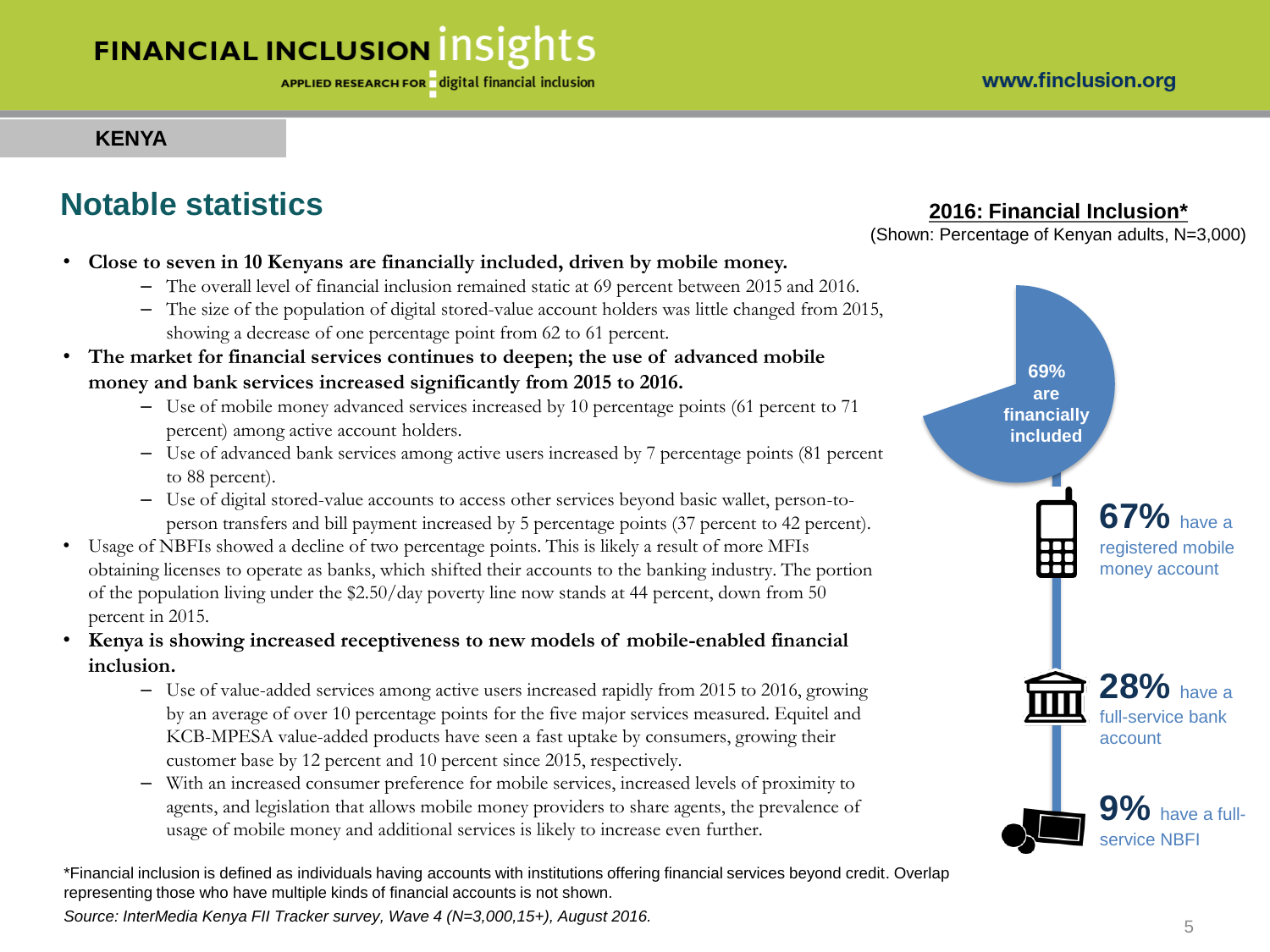### **KENYA**

### **Notable statistics**

- **Close to seven in 10 Kenyans are financially included, driven by mobile money.** 
	- The overall level of financial inclusion remained static at 69 percent between 2015 and 2016.
	- The size of the population of digital stored-value account holders was little changed from 2015, showing a decrease of one percentage point from 62 to 61 percent.
- **The market for financial services continues to deepen; the use of advanced mobile money and bank services increased significantly from 2015 to 2016.** 
	- Use of mobile money advanced services increased by 10 percentage points (61 percent to 71 percent) among active account holders.
	- Use of advanced bank services among active users increased by 7 percentage points (81 percent to 88 percent).
	- Use of digital stored-value accounts to access other services beyond basic wallet, person-toperson transfers and bill payment increased by 5 percentage points (37 percent to 42 percent).
- Usage of NBFIs showed a decline of two percentage points. This is likely a result of more MFIs obtaining licenses to operate as banks, which shifted their accounts to the banking industry. The portion of the population living under the \$2.50/day poverty line now stands at 44 percent, down from 50 percent in 2015.
- **Kenya is showing increased receptiveness to new models of mobile-enabled financial inclusion.** 
	- Use of value-added services among active users increased rapidly from 2015 to 2016, growing by an average of over 10 percentage points for the five major services measured. Equitel and KCB-MPESA value-added products have seen a fast uptake by consumers, growing their customer base by 12 percent and 10 percent since 2015, respectively.
	- With an increased consumer preference for mobile services, increased levels of proximity to agents, and legislation that allows mobile money providers to share agents, the prevalence of usage of mobile money and additional services is likely to increase even further.

\*Financial inclusion is defined as individuals having accounts with institutions offering financial services beyond credit. Overlap representing those who have multiple kinds of financial accounts is not shown.

*Source: InterMedia Kenya FII Tracker survey, Wave 4 (N=3,000,15+), August 2016.* <sup>5</sup>

### **2016: Financial Inclusion\***

(Shown: Percentage of Kenyan adults, N=3,000)

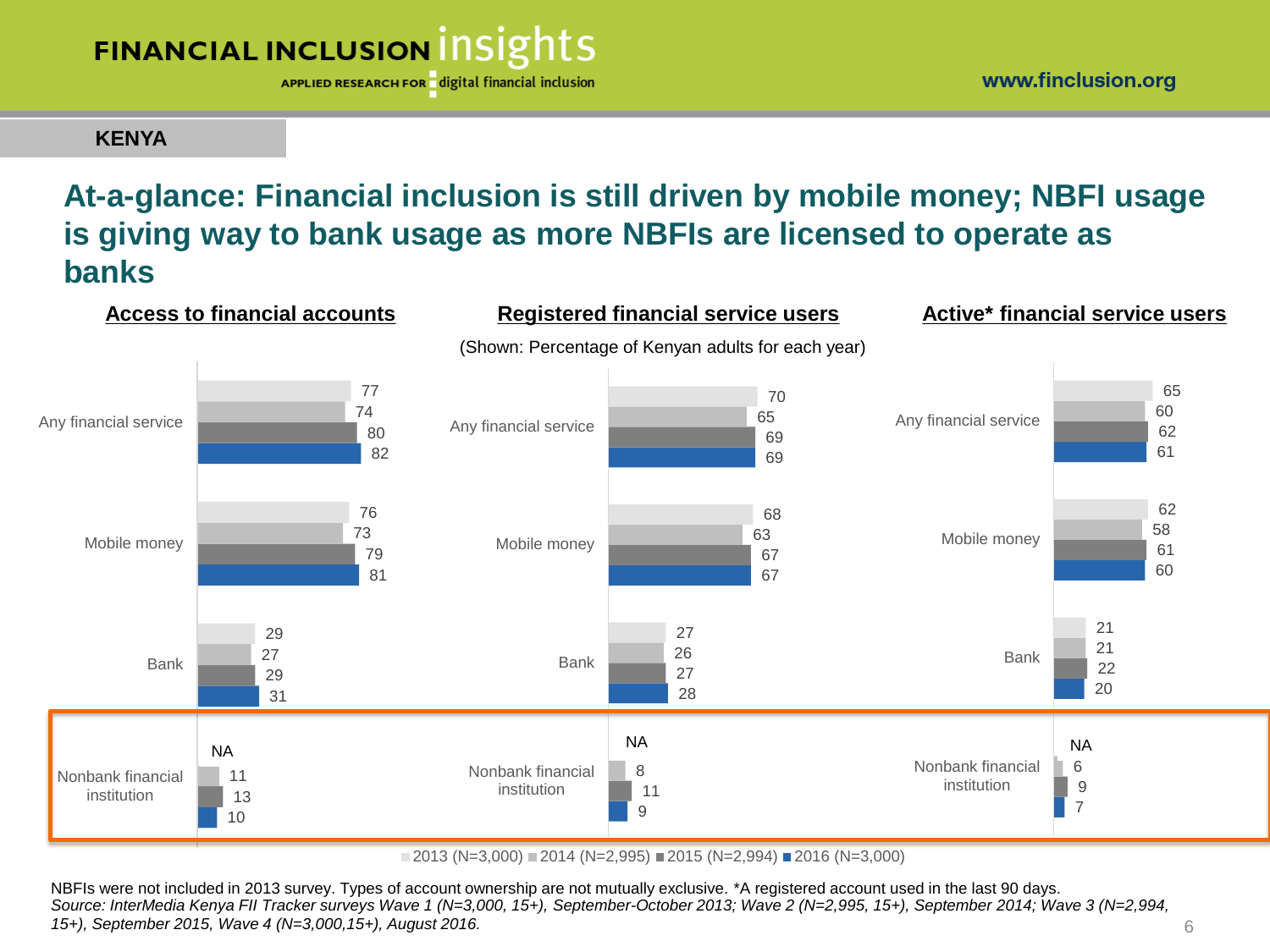APPLIED RESEARCH FOR digital financial inclusion

**KENYA**

### **At-a-glance: Financial inclusion is still driven by mobile money; NBFI usage is giving way to bank usage as more NBFIs are licensed to operate as banks**



 $\blacksquare$  2013 (N=3,000)  $\blacksquare$  2014 (N=2,995)  $\blacksquare$  2015 (N=2,994)  $\blacksquare$  2016 (N=3,000)

NBFIs were not included in 2013 survey. Types of account ownership are not mutually exclusive. \*A registered account used in the last 90 days. *Source: InterMedia Kenya FII Tracker surveys Wave 1 (N=3,000, 15+), September-October 2013; Wave 2 (N=2,995, 15+), September 2014; Wave 3 (N=2,994, 15+), September 2015, Wave 4 (N=3,000,15+), August 2016.* 6

www.finclusion.org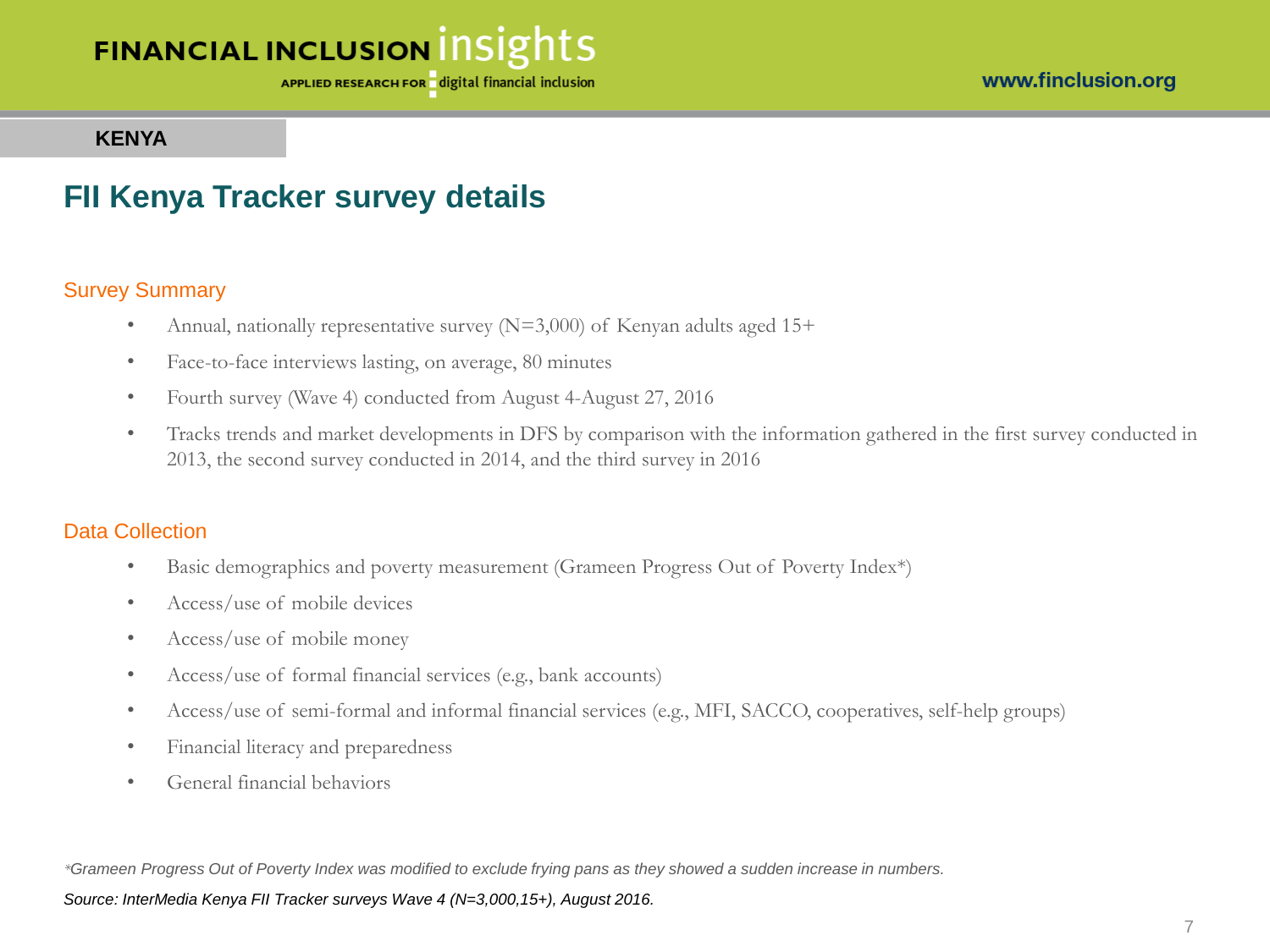APPLIED RESEARCH FOR digital financial inclusion

#### **KENYA**

### **FII Kenya Tracker survey details**

#### Survey Summary

- Annual, nationally representative survey  $(N=3,000)$  of Kenyan adults aged 15+
- Face-to-face interviews lasting, on average, 80 minutes
- Fourth survey (Wave 4) conducted from August 4-August 27, 2016
- Tracks trends and market developments in DFS by comparison with the information gathered in the first survey conducted in 2013, the second survey conducted in 2014, and the third survey in 2016

#### Data Collection

- Basic demographics and poverty measurement (Grameen Progress Out of Poverty Index\*)
- Access/use of mobile devices
- Access/use of mobile money
- Access/use of formal financial services (e.g., bank accounts)
- Access/use of semi-formal and informal financial services (e.g., MFI, SACCO, cooperatives, self-help groups)
- Financial literacy and preparedness
- General financial behaviors

*\*Grameen Progress Out of Poverty Index was modified to exclude frying pans as they showed a sudden increase in numbers.*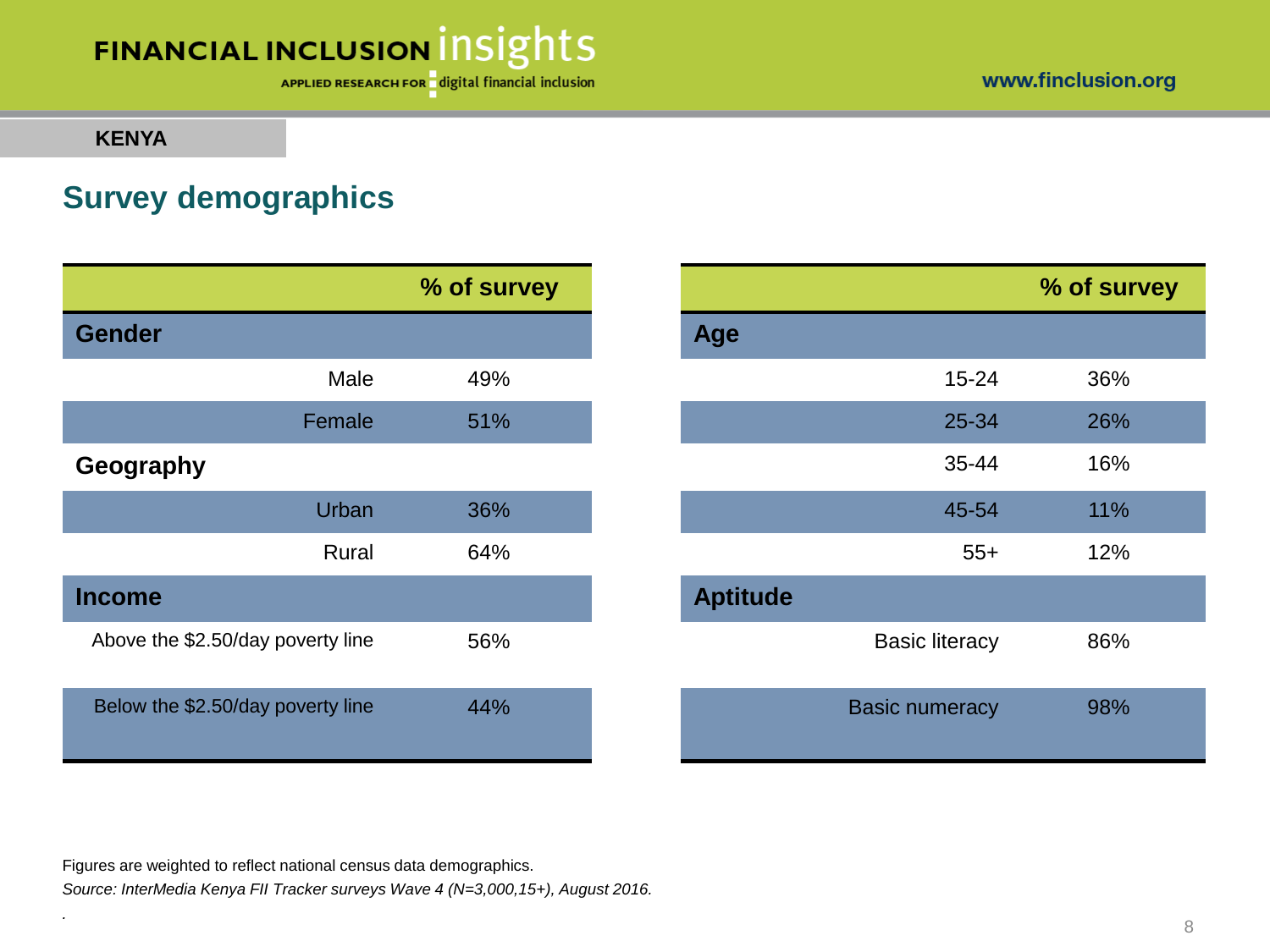#### www.finclusion.org

# FINANCIAL INCLUSION INSIGHTS

APPLIED RESEARCH FOR digital financial inclusion

#### **KENYA**

*.*

### **Survey demographics**

|                                   |        | % of survey |                 |                       |
|-----------------------------------|--------|-------------|-----------------|-----------------------|
| <b>Gender</b>                     |        |             | Age             |                       |
|                                   | Male   | 49%         |                 | $15 - 24$             |
|                                   | Female | 51%         |                 | 25-34                 |
| Geography                         |        |             |                 | 35-44                 |
|                                   | Urban  | 36%         |                 | 45-54                 |
|                                   | Rural  | 64%         |                 | $55+$                 |
| <b>Income</b>                     |        |             | <b>Aptitude</b> |                       |
| Above the \$2.50/day poverty line |        | 56%         |                 | <b>Basic literacy</b> |
| Below the \$2.50/day poverty line |        | 44%         |                 | <b>Basic numeracy</b> |

|           | % of survey |                 |                       | % of survey |
|-----------|-------------|-----------------|-----------------------|-------------|
|           |             | <b>Age</b>      |                       |             |
| Male      | 49%         |                 | 15-24                 | 36%         |
| Female    | 51%         |                 | 25-34                 | 26%         |
|           |             |                 | 35-44                 | 16%         |
| Urban     | 36%         |                 | 45-54                 | 11%         |
| Rural     | 64%         |                 | $55+$                 | 12%         |
|           |             | <b>Aptitude</b> |                       |             |
| erty line | 56%         |                 | <b>Basic literacy</b> | 86%         |
| erty line | 44%         |                 | <b>Basic numeracy</b> | 98%         |

Figures are weighted to reflect national census data demographics.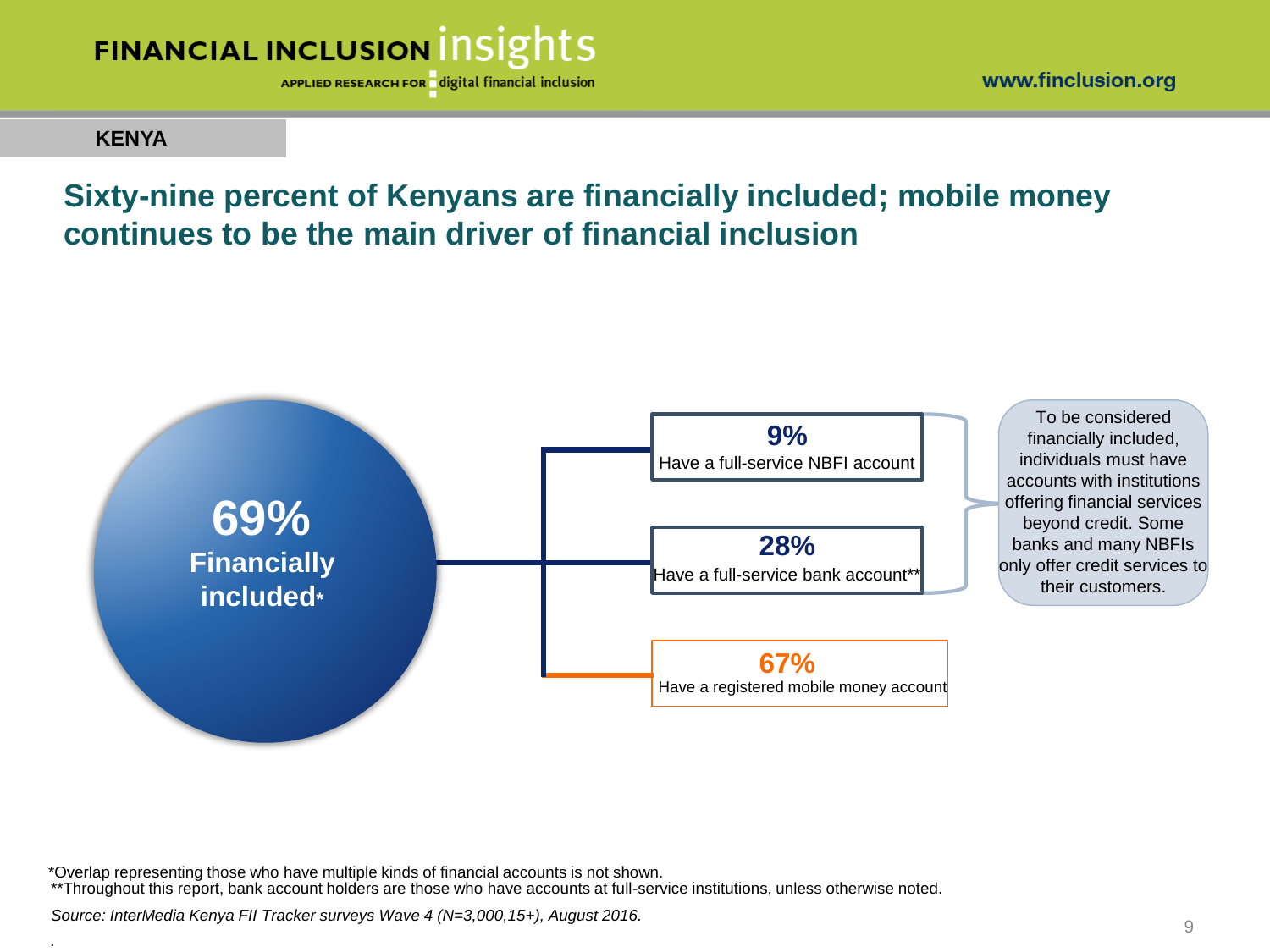

www.finclusion.org

### **KENYA**

*.*

### **Sixty-nine percent of Kenyans are financially included; mobile money continues to be the main driver of financial inclusion**



\*Overlap representing those who have multiple kinds of financial accounts is not shown. \*\*Throughout this report, bank account holders are those who have accounts at full-service institutions, unless otherwise noted.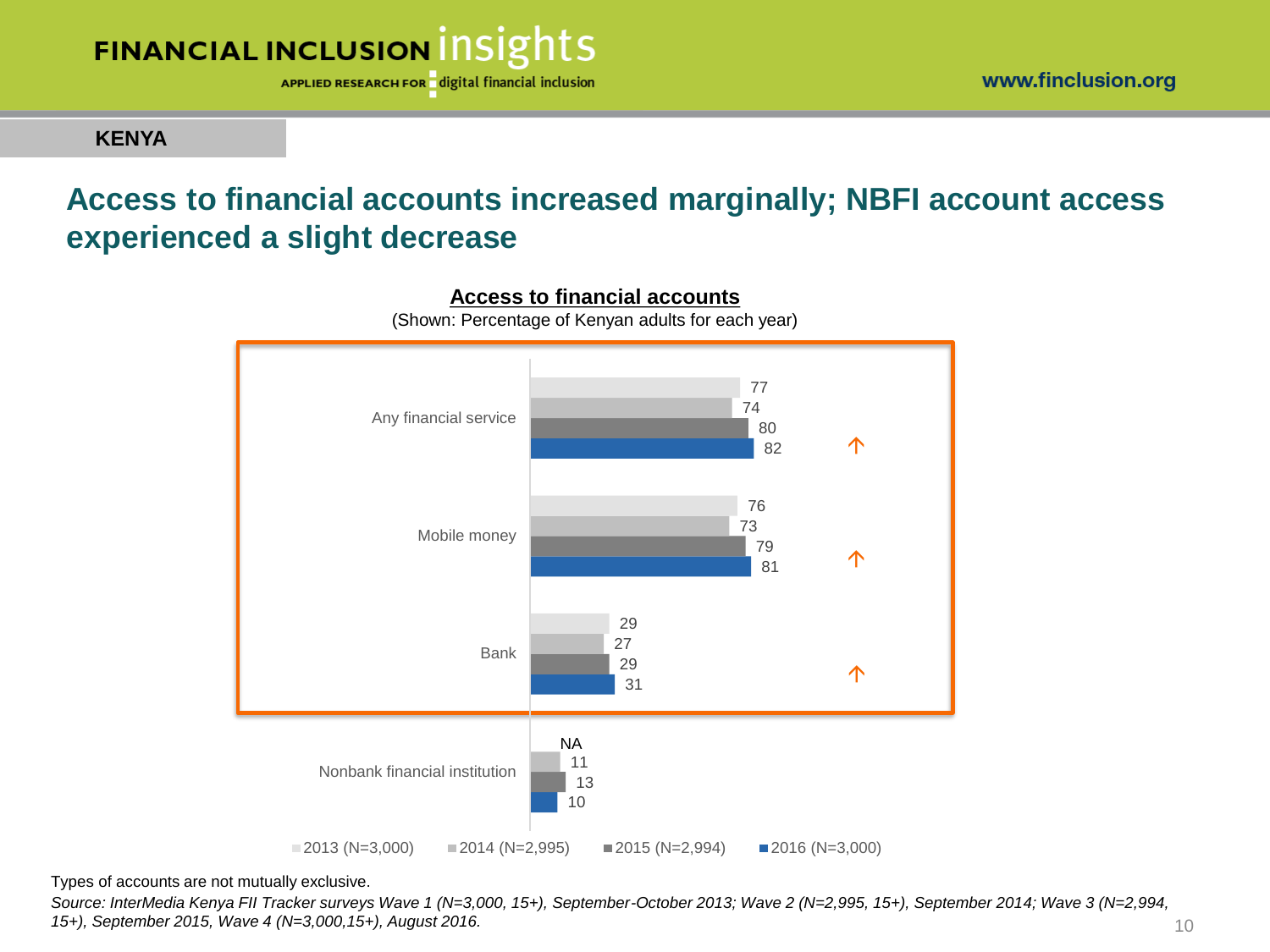

**KENYA**

### **Access to financial accounts increased marginally; NBFI account access experienced a slight decrease**





(Shown: Percentage of Kenyan adults for each year)

Types of accounts are not mutually exclusive.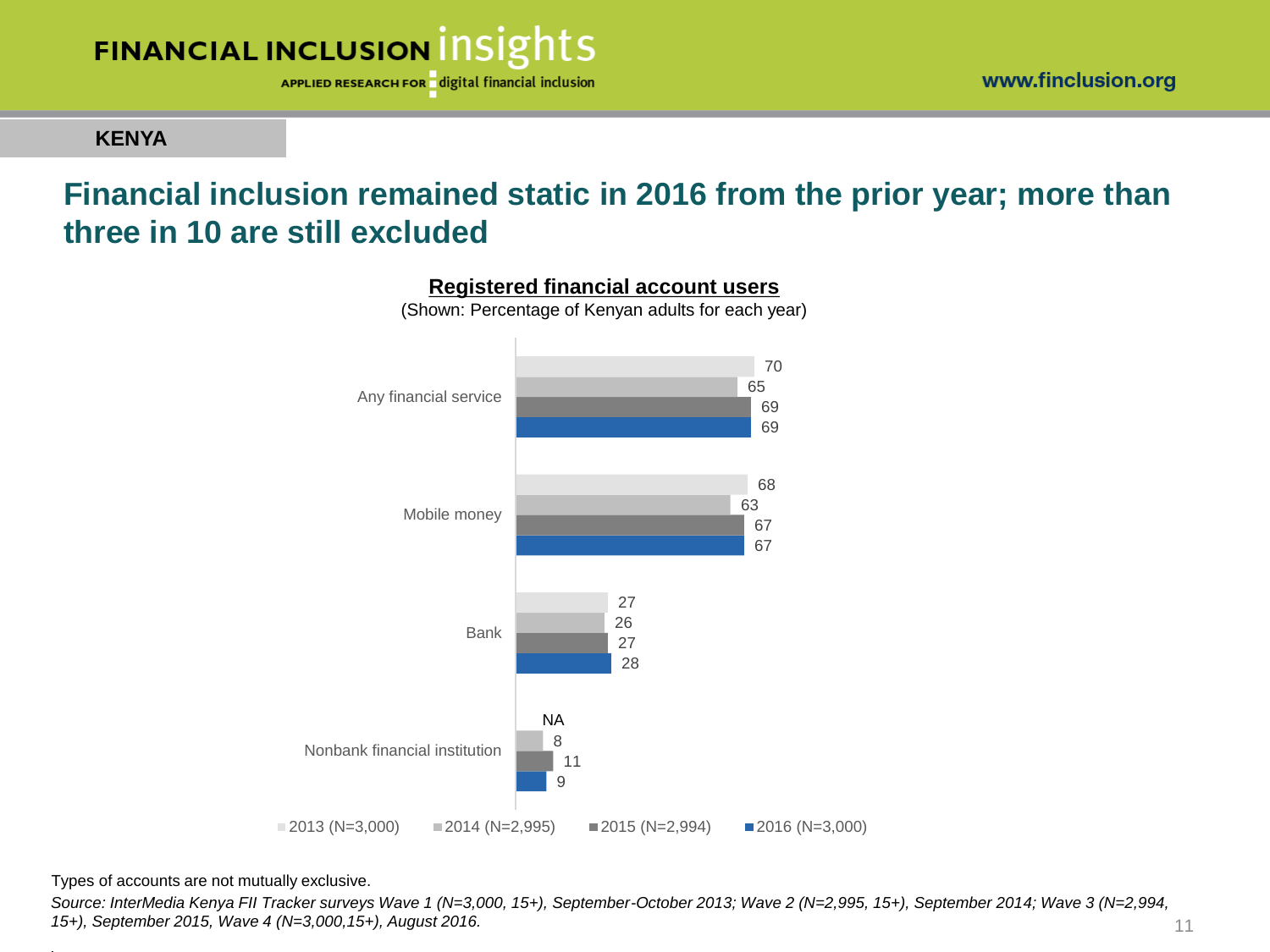

**KENYA**

### **Financial inclusion remained static in 2016 from the prior year; more than three in 10 are still excluded**





(Shown: Percentage of Kenyan adults for each year)

Types of accounts are not mutually exclusive.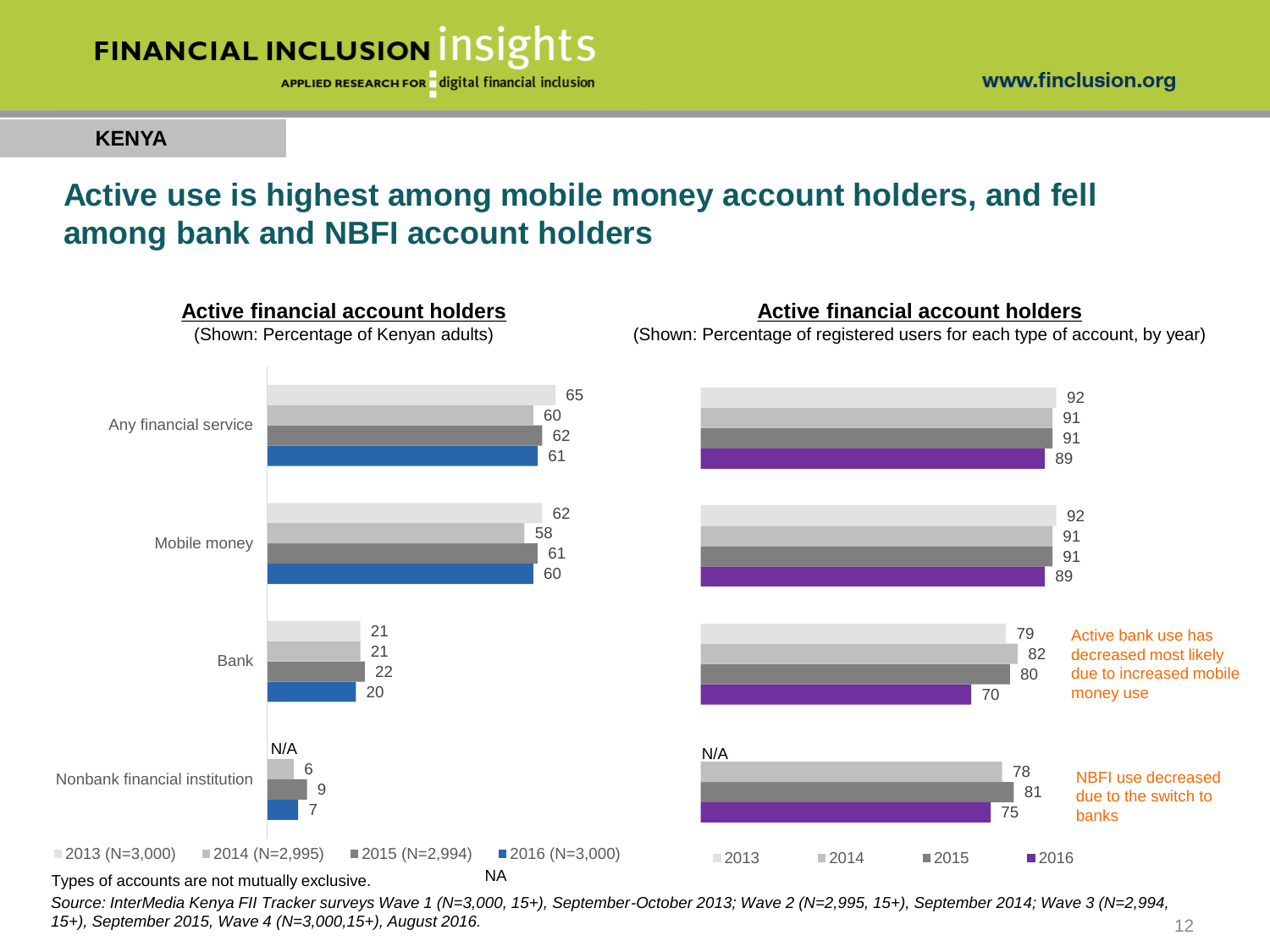

#### **KENYA**

### **Active use is highest among mobile money account holders, and fell among bank and NBFI account holders**

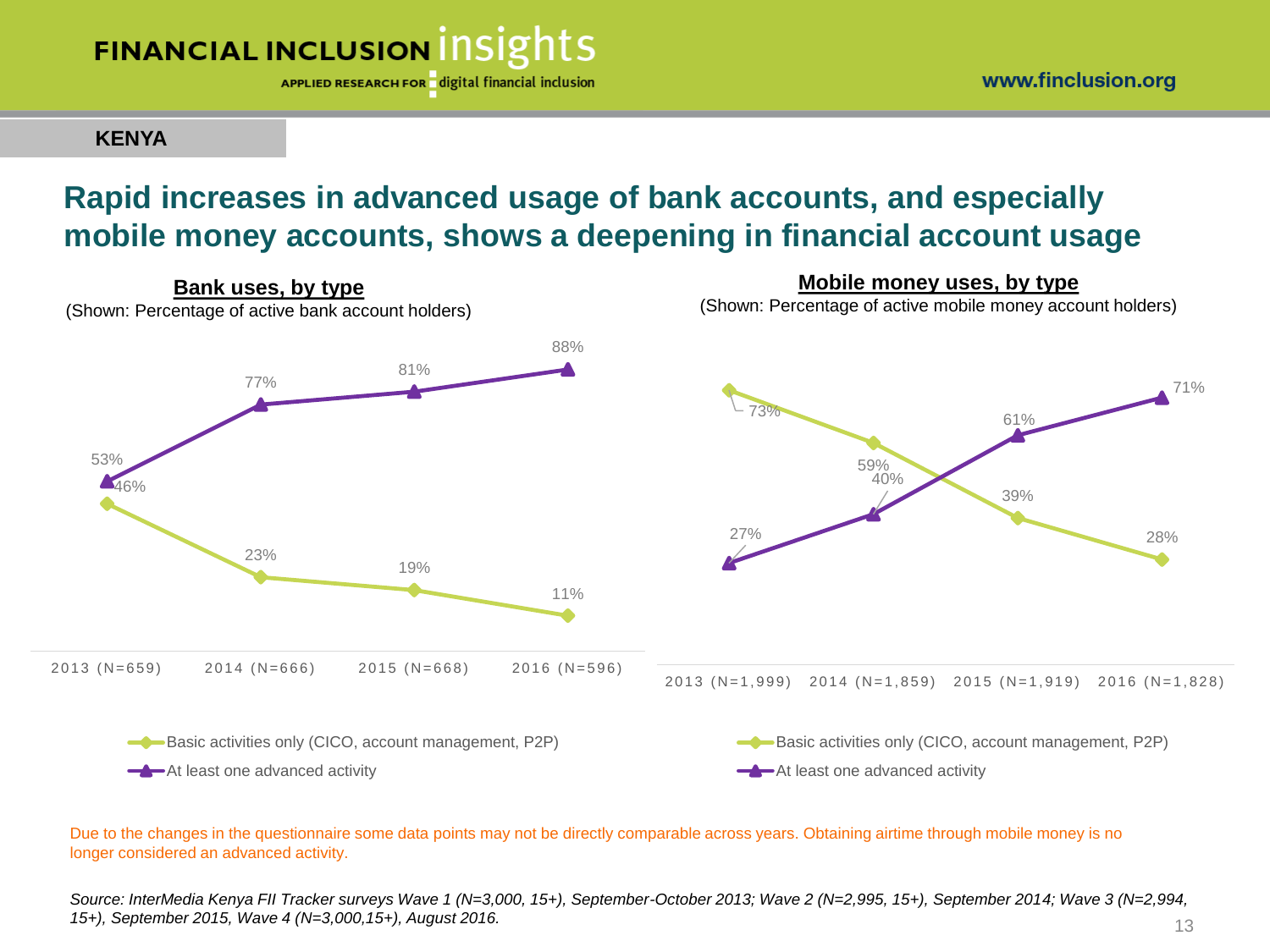

**KENYA**

### **Rapid increases in advanced usage of bank accounts, and especially mobile money accounts, shows a deepening in financial account usage**



Due to the changes in the questionnaire some data points may not be directly comparable across years. Obtaining airtime through mobile money is no longer considered an advanced activity.

*Source: InterMedia Kenya FII Tracker surveys Wave 1 (N=3,000, 15+), September-October 2013; Wave 2 (N=2,995, 15+), September 2014; Wave 3 (N=2,994, 15+), September 2015, Wave 4 (N=3,000,15+), August 2016.* 13

www.finclusion.org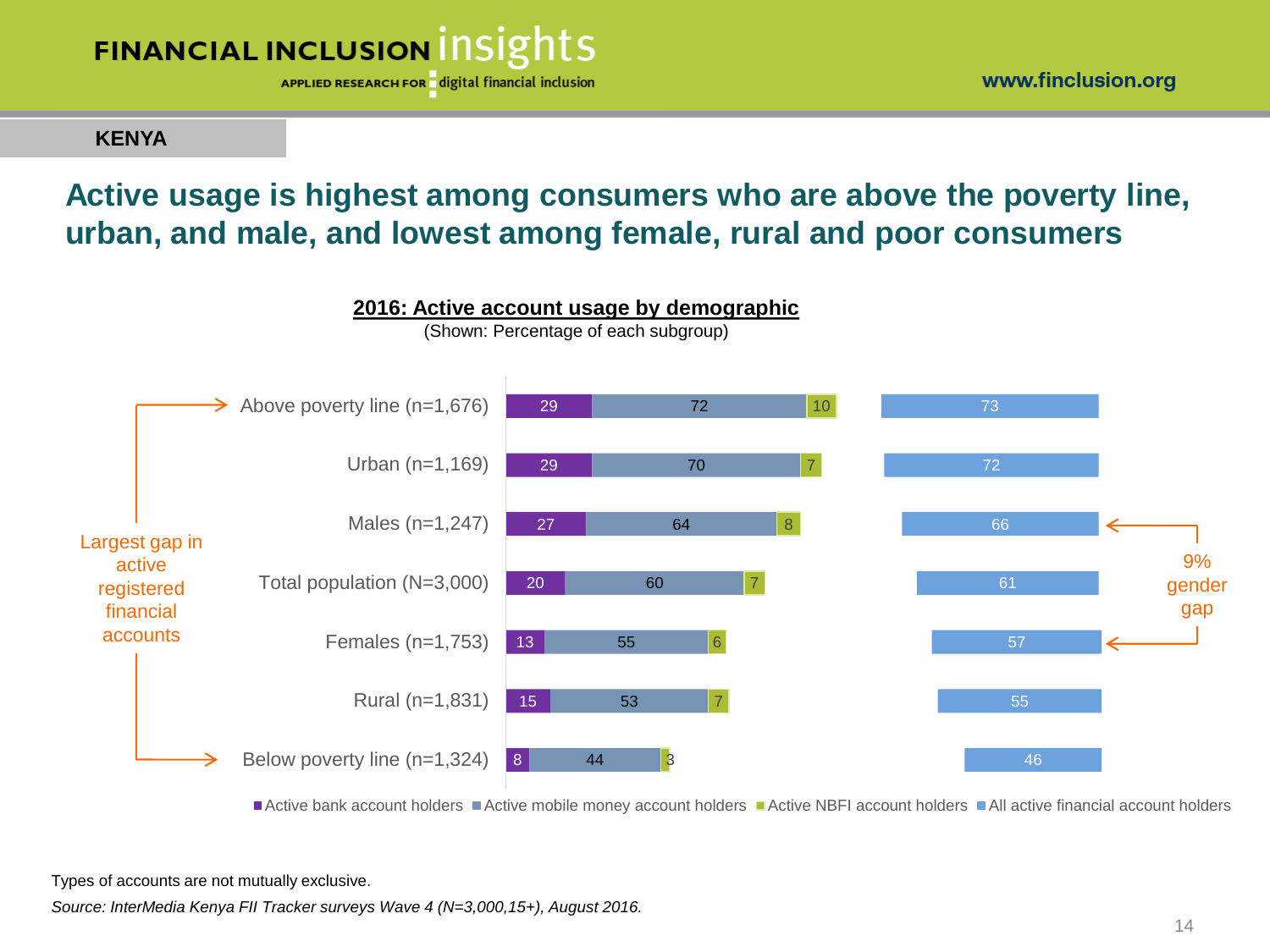

www.finclusion.org

### **KENYA**

### **Active usage is highest among consumers who are above the poverty line, urban, and male, and lowest among female, rural and poor consumers**



Active bank account holders Active mobile money account holders Active NBFI account holders All active financial account holders

Types of accounts are not mutually exclusive.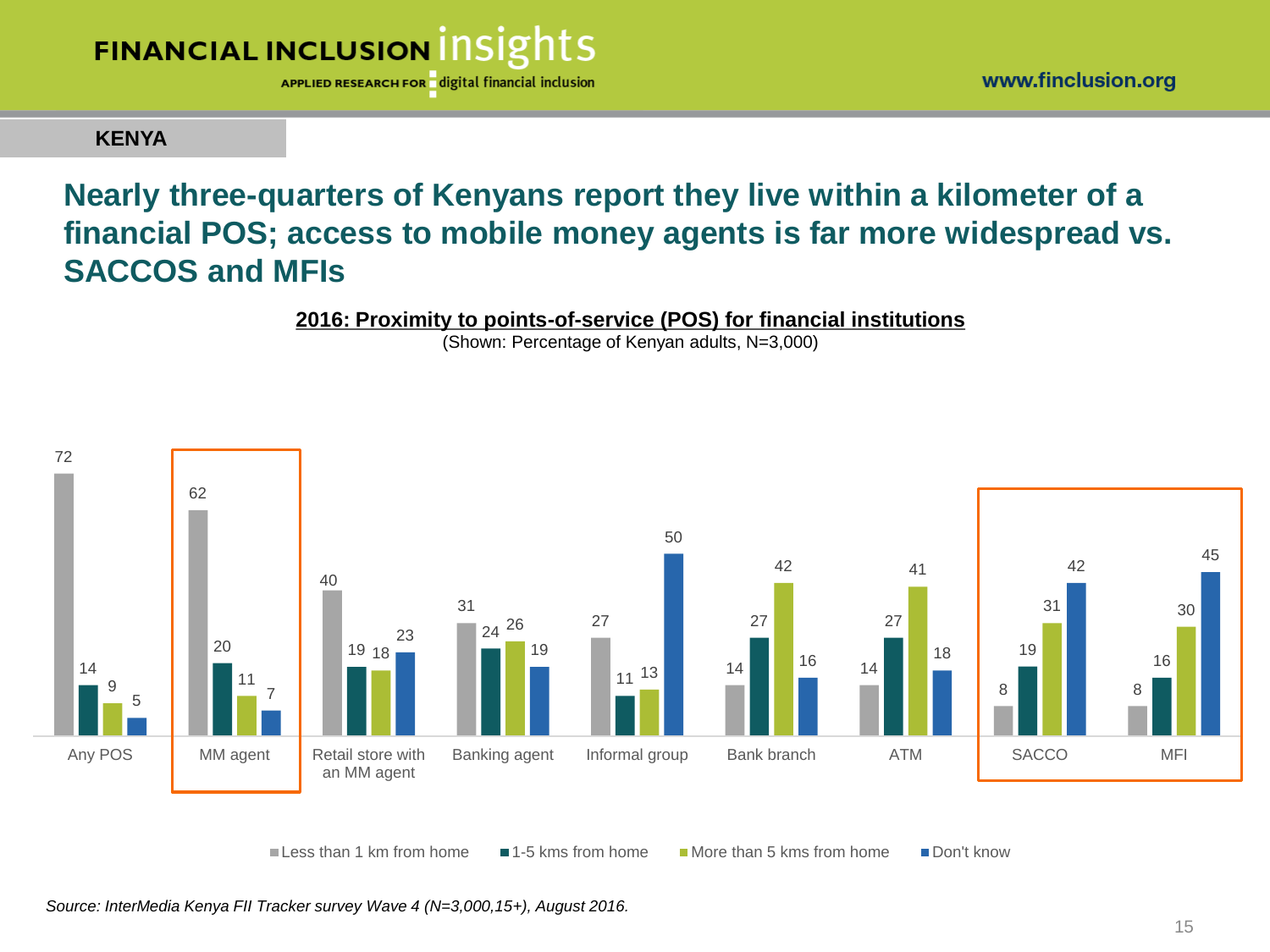

www.finclusion.org

#### **KENYA**

### **Nearly three-quarters of Kenyans report they live within a kilometer of a financial POS; access to mobile money agents is far more widespread vs. SACCOS and MFIs**



(Shown: Percentage of Kenyan adults, N=3,000)



Less than 1 km from home  $\blacksquare$  1-5 kms from home  $\blacksquare$  More than 5 kms from home  $\blacksquare$  Don't know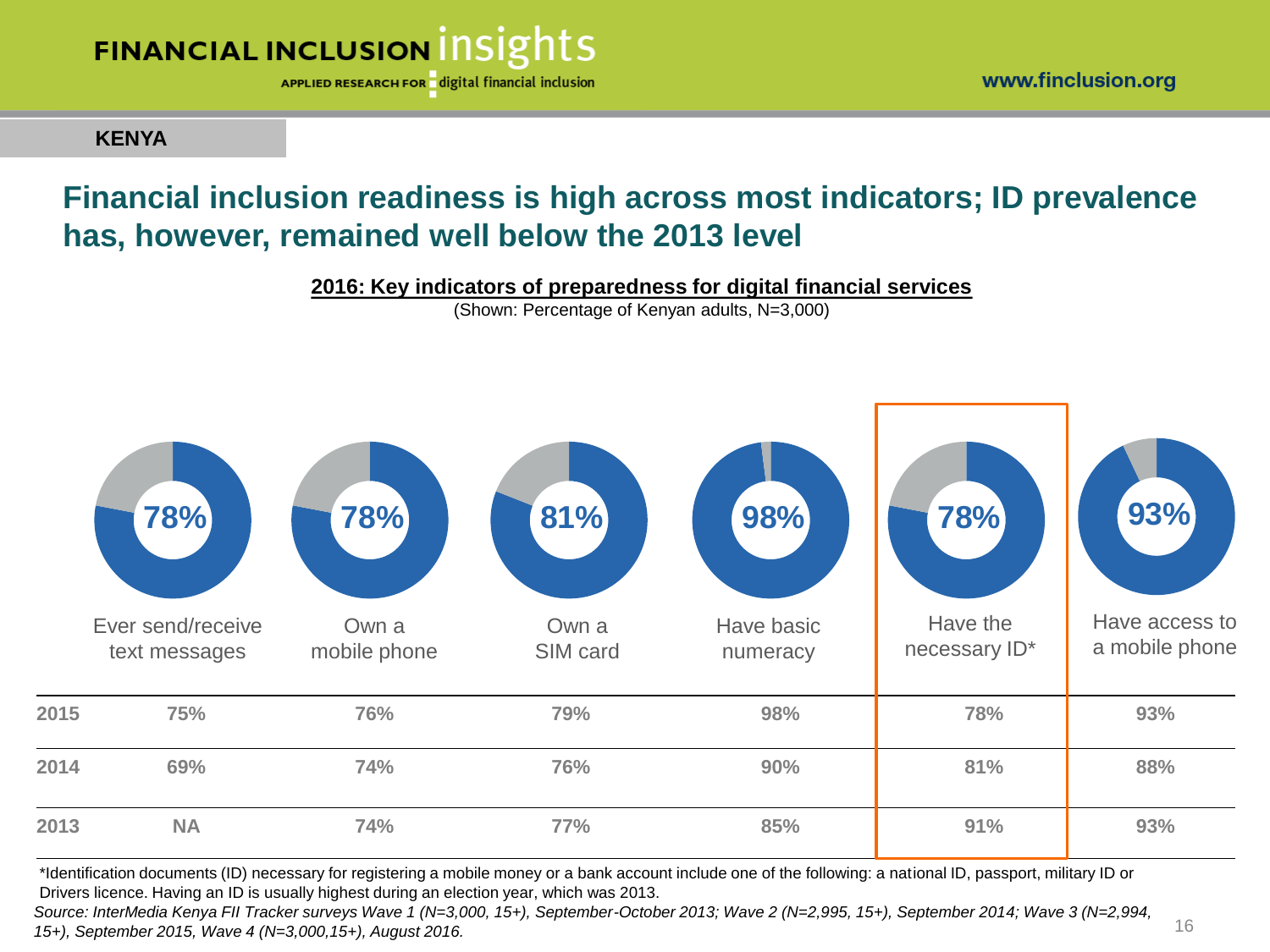

**KENYA**

### **Financial inclusion readiness is high across most indicators; ID prevalence has, however, remained well below the 2013 level**

**2016: Key indicators of preparedness for digital financial services** 

(Shown: Percentage of Kenyan adults, N=3,000)



\*Identification documents (ID) necessary for registering a mobile money or a bank account include one of the following: a national ID, passport, military ID or Drivers licence. Having an ID is usually highest during an election year, which was 2013.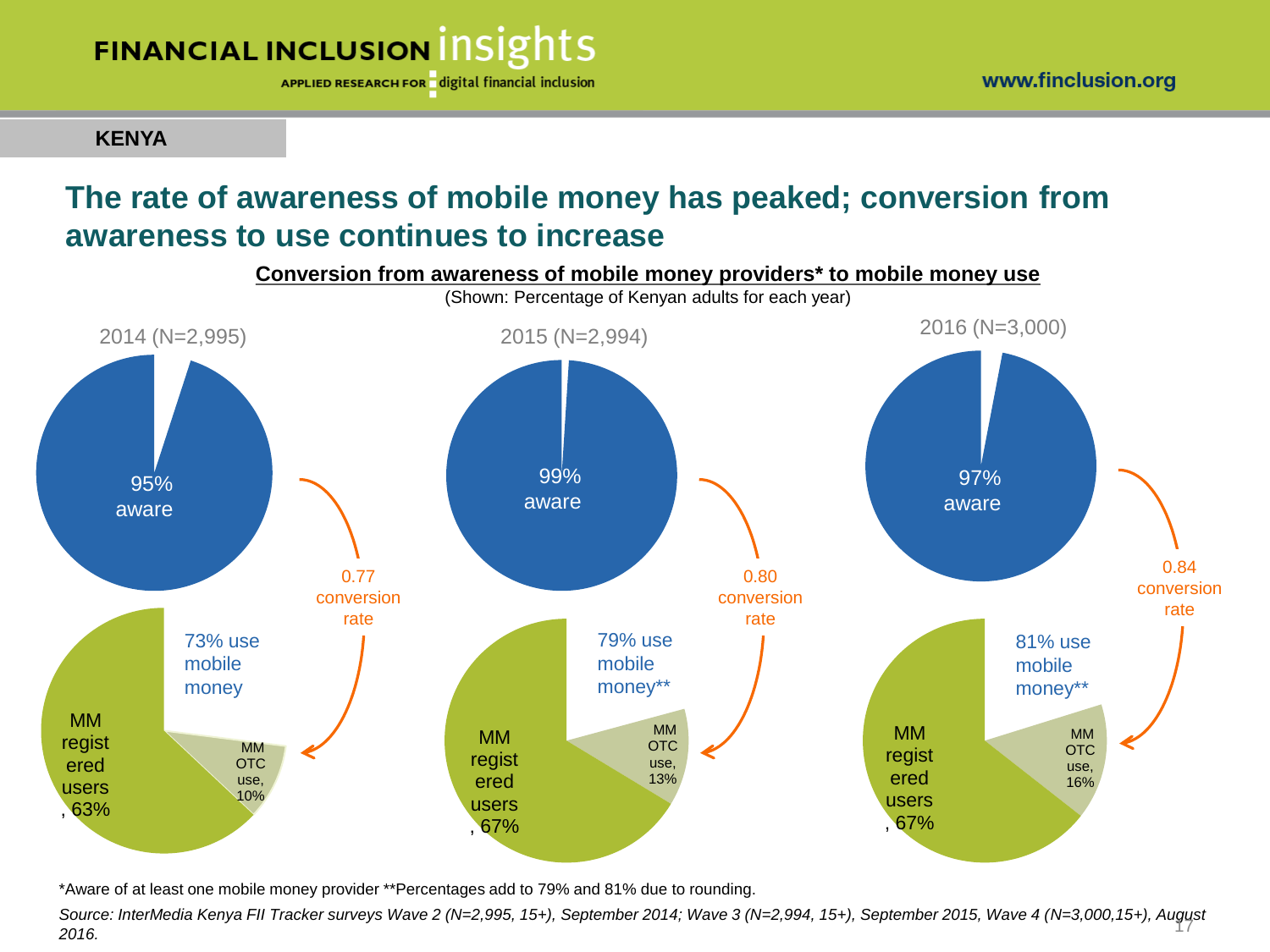APPLIED RESEARCH FOR digital financial inclusion

**KENYA**

### **The rate of awareness of mobile money has peaked; conversion from awareness to use continues to increase**



\*Aware of at least one mobile money provider \*\*Percentages add to 79% and 81% due to rounding.

*Source: InterMedia Kenya FII Tracker surveys Wave 2 (N=2,995, 15+), September 2014; Wave 3 (N=2,994, 15+), September 2015, Wave 4 (N=3,000,15+), August*  17 *2016.*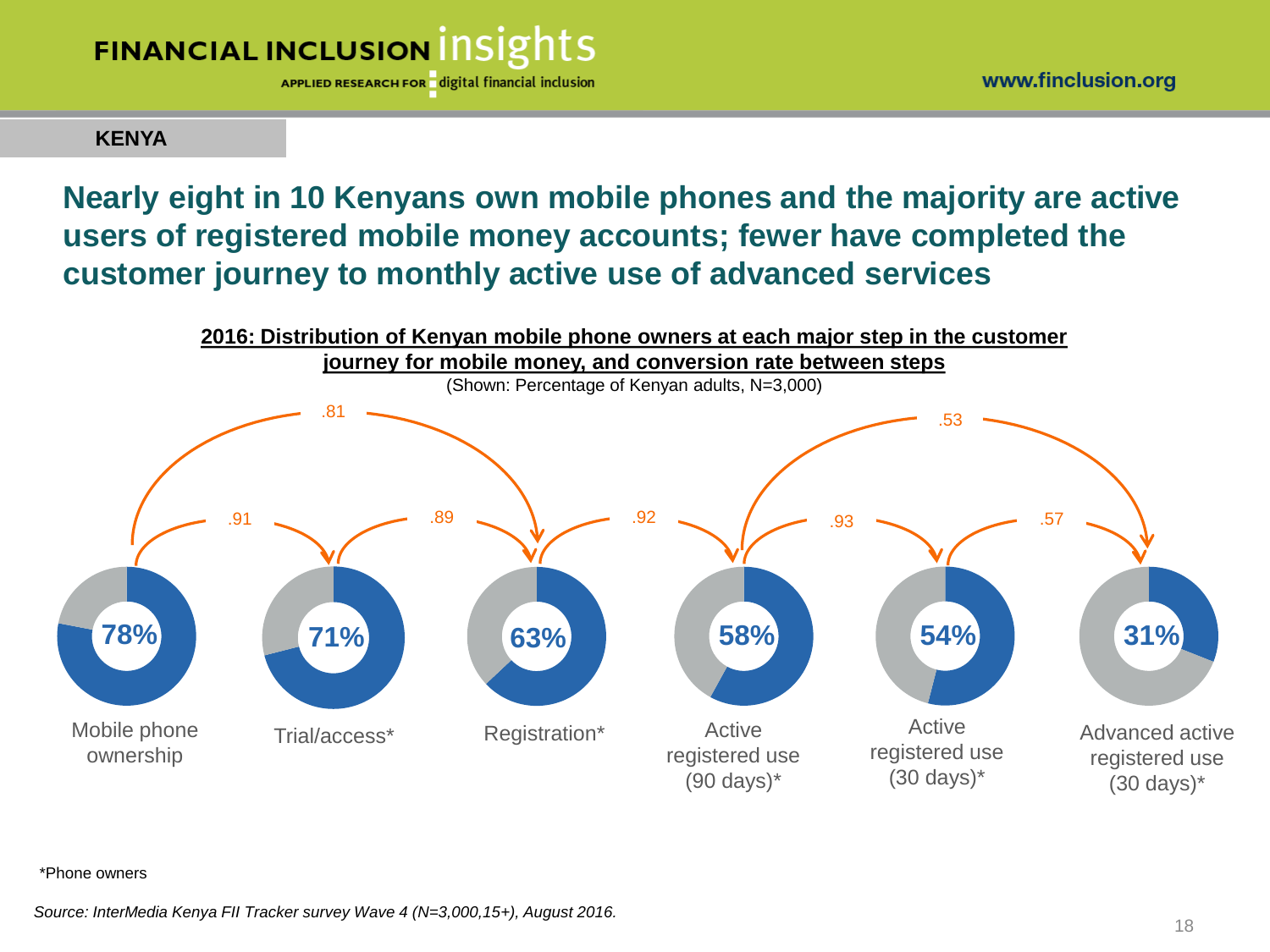

APPLIED RESEARCH FOR digital financial inclusion

#### **KENYA**

### **Nearly eight in 10 Kenyans own mobile phones and the majority are active users of registered mobile money accounts; fewer have completed the customer journey to monthly active use of advanced services**



#### \*Phone owners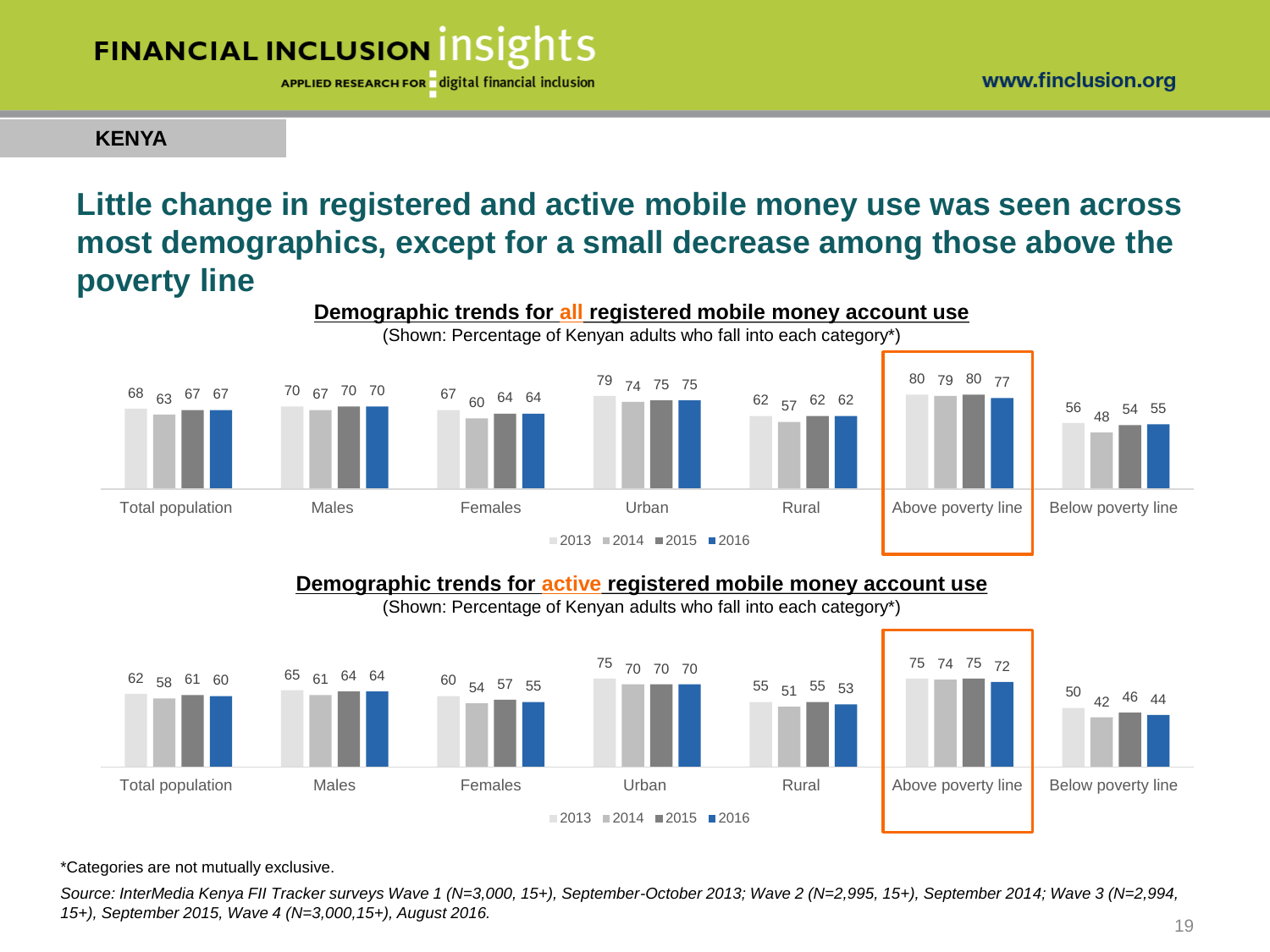

APPLIED RESEARCH FOR digital financial inclusion

#### **KENYA**

### **Little change in registered and active mobile money use was seen across most demographics, except for a small decrease among those above the poverty line**



#### **Demographic trends for active registered mobile money account use**

(Shown: Percentage of Kenyan adults who fall into each category\*)



\*Categories are not mutually exclusive.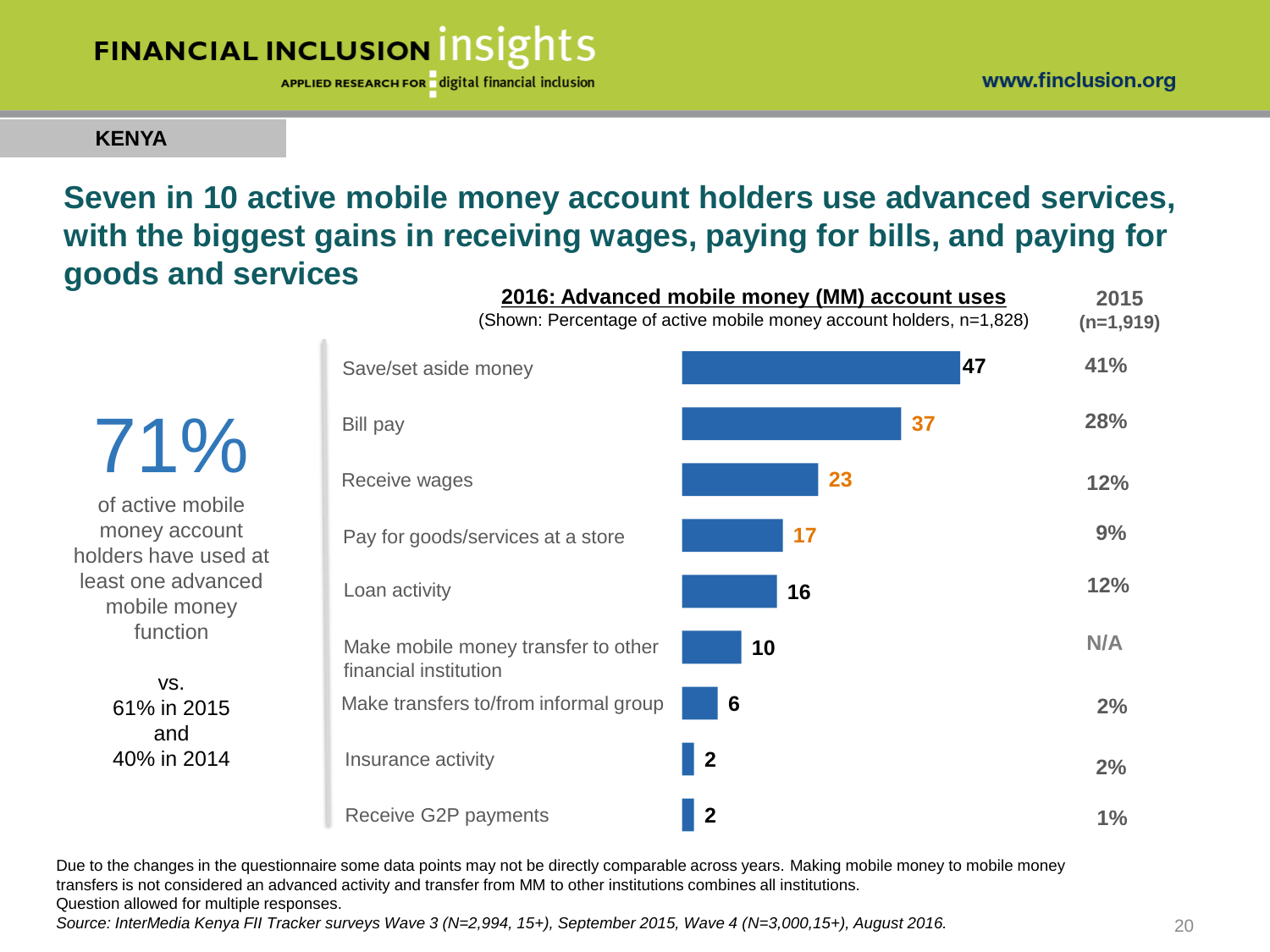APPLIED RESEARCH FOR digital financial inclusion

### **KENYA**

### **Seven in 10 active mobile money account holders use advanced services, with the biggest gains in receiving wages, paying for bills, and paying for goods and services**

of active mobile money account holders have used at least one advanced mobile money function

71%

vs. 61% in 2015 and 40% in 2014

| 2016: Advanced mobile money (MM) account uses<br>(Shown: Percentage of active mobile money account holders, n=1,828) |                                                              |                |    |     |  |  |
|----------------------------------------------------------------------------------------------------------------------|--------------------------------------------------------------|----------------|----|-----|--|--|
|                                                                                                                      | Save/set aside money                                         |                | 47 | 41% |  |  |
|                                                                                                                      | Bill pay                                                     |                | 37 | 28% |  |  |
|                                                                                                                      | Receive wages                                                | 23             |    | 12% |  |  |
|                                                                                                                      | Pay for goods/services at a store                            | 17             |    | 9%  |  |  |
|                                                                                                                      | Loan activity                                                | 16             |    | 12% |  |  |
|                                                                                                                      | Make mobile money transfer to other<br>financial institution | 10             |    | N/A |  |  |
|                                                                                                                      | Make transfers to/from informal group                        | 6              |    | 2%  |  |  |
|                                                                                                                      | Insurance activity                                           | $\overline{2}$ |    | 2%  |  |  |
|                                                                                                                      | Receive G2P payments                                         | $\mathbf 2$    |    | 1%  |  |  |

Due to the changes in the questionnaire some data points may not be directly comparable across years. Making mobile money to mobile money transfers is not considered an advanced activity and transfer from MM to other institutions combines all institutions.

Question allowed for multiple responses.

*Source: InterMedia Kenya FII Tracker surveys Wave 3 (N=2,994, 15+), September 2015, Wave 4 (N=3,000,15+), August 2016.*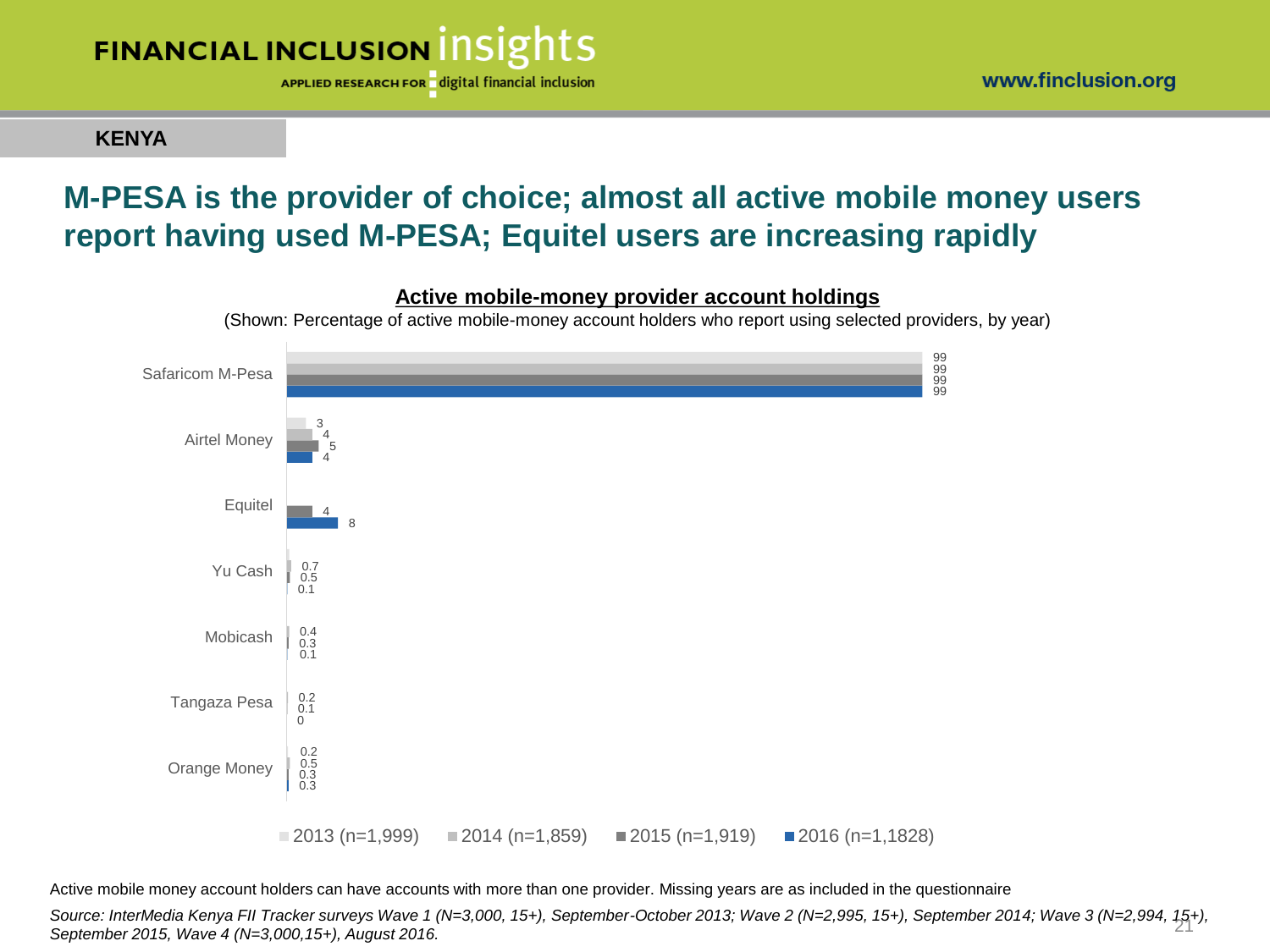

**KENYA**

### **M-PESA is the provider of choice; almost all active mobile money users report having used M-PESA; Equitel users are increasing rapidly**



Active mobile money account holders can have accounts with more than one provider. Missing years are as included in the questionnaire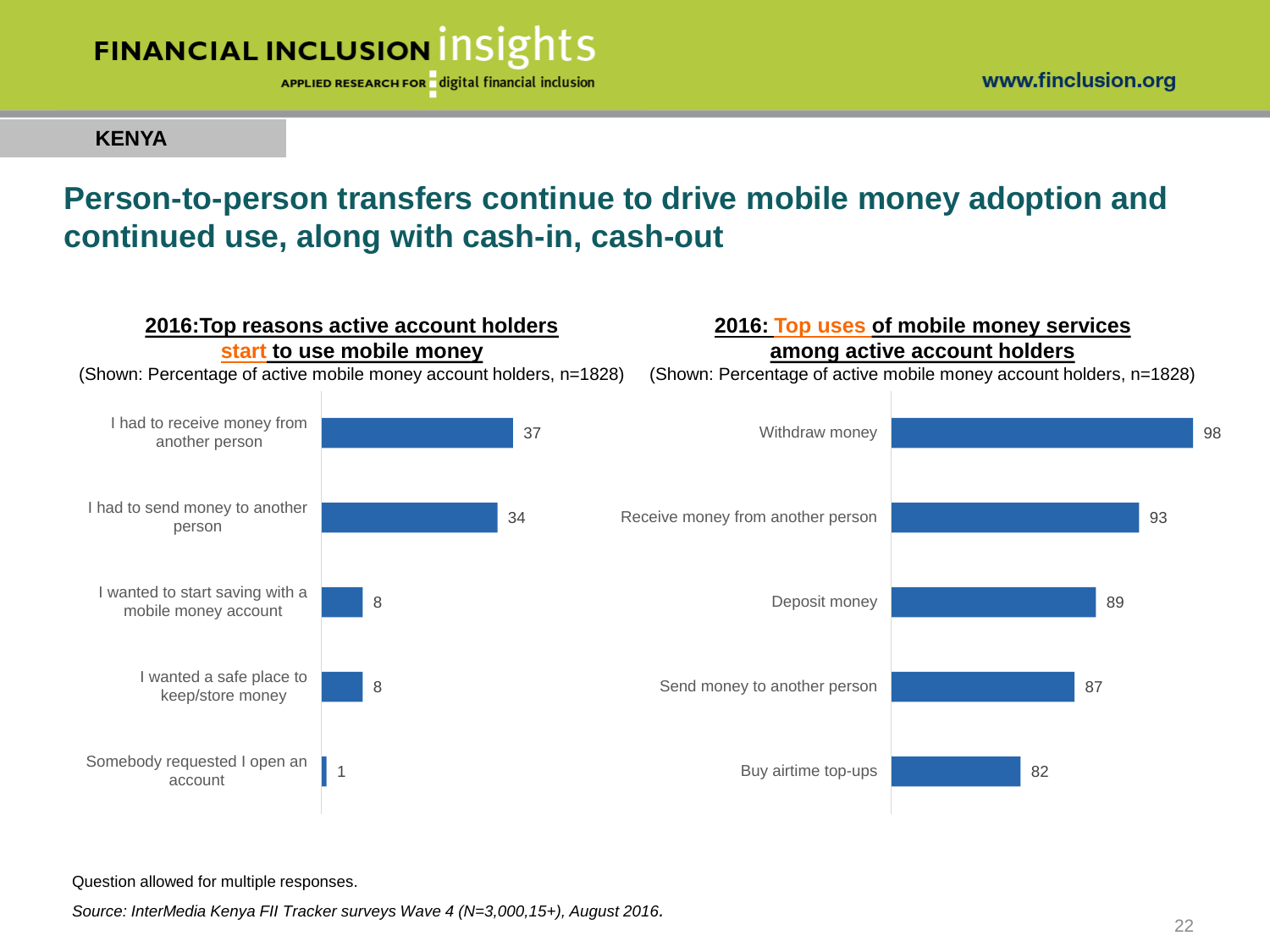

**KENYA**

### **Person-to-person transfers continue to drive mobile money adoption and continued use, along with cash-in, cash-out**



Question allowed for multiple responses.

*Source: InterMedia Kenya FII Tracker surveys Wave 4 (N=3,000,15+), August 2016.*

www.finclusion.org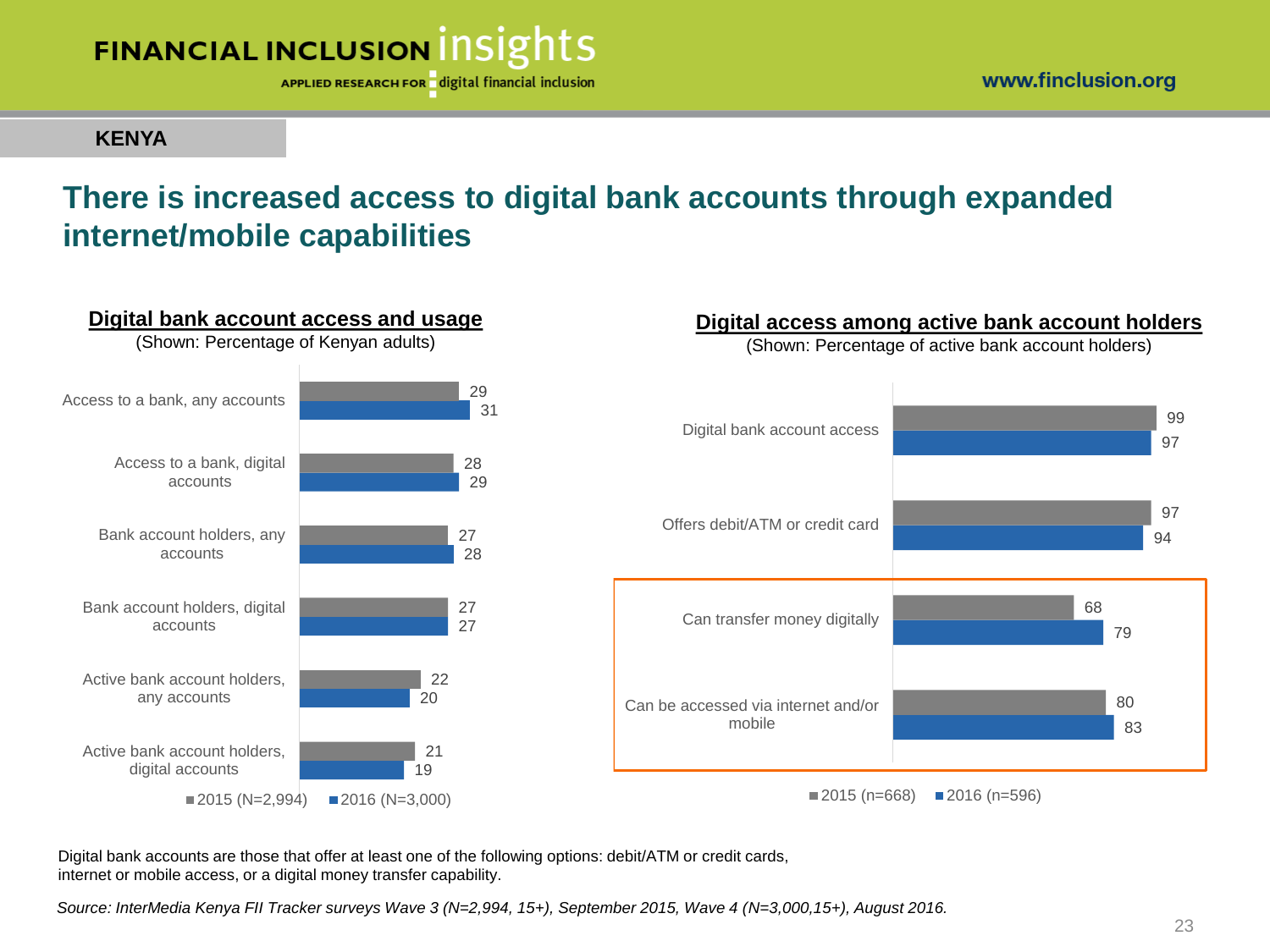

#### **KENYA**

### **There is increased access to digital bank accounts through expanded internet/mobile capabilities**



Digital bank accounts are those that offer at least one of the following options: debit/ATM or credit cards, internet or mobile access, or a digital money transfer capability.

*Source: InterMedia Kenya FII Tracker surveys Wave 3 (N=2,994, 15+), September 2015, Wave 4 (N=3,000,15+), August 2016.*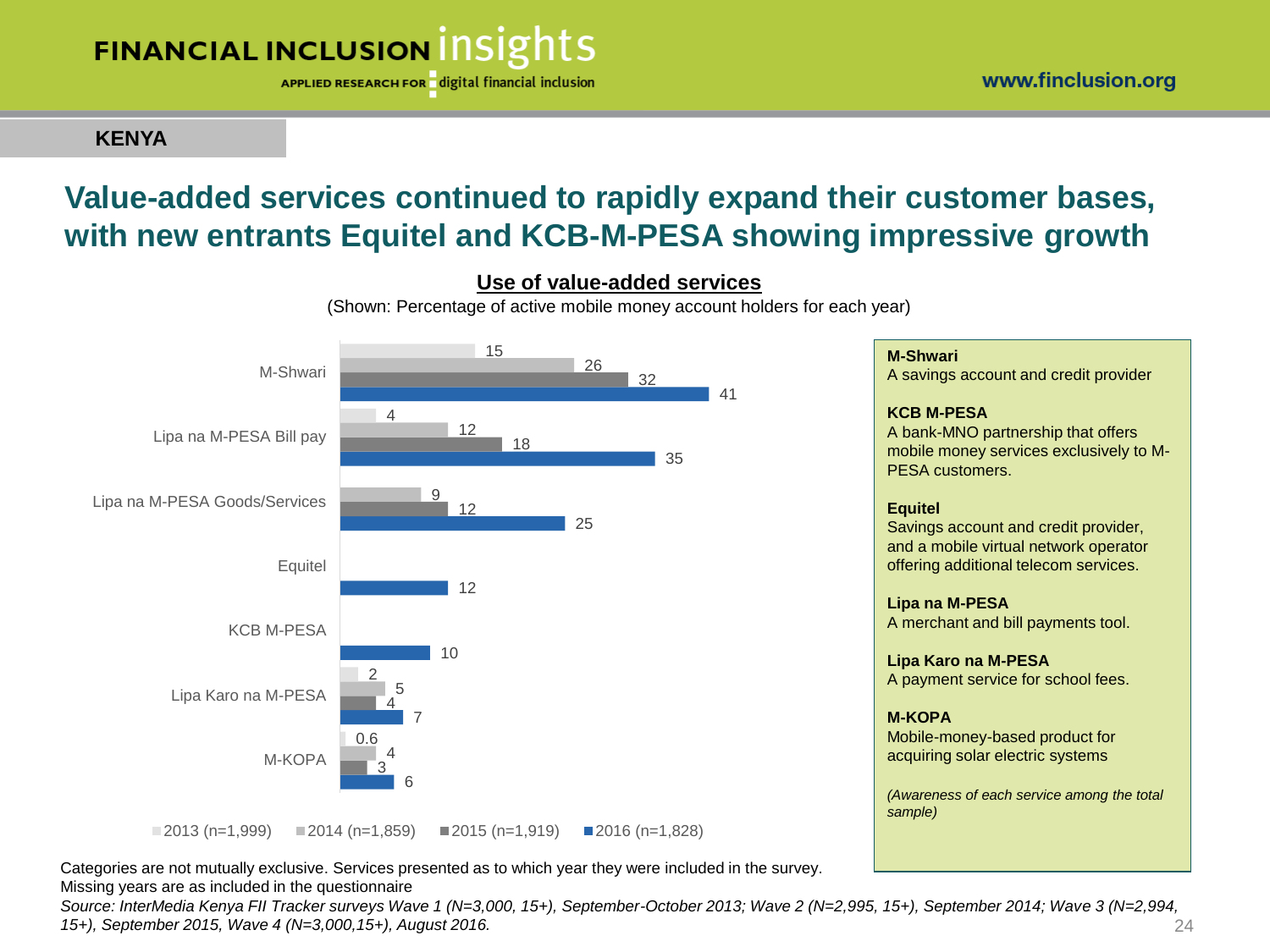

APPLIED RESEARCH FOR digital financial inclusion

**KENYA**

### **Value-added services continued to rapidly expand their customer bases, with new entrants Equitel and KCB-M-PESA showing impressive growth**



#### **Use of value-added services**

(Shown: Percentage of active mobile money account holders for each year)

#### **M-Shwari**

A savings account and credit provider

#### **KCB M-PESA**

A bank-MNO partnership that offers mobile money services exclusively to M-PESA customers.

#### **Equitel**

Savings account and credit provider, and a mobile virtual network operator offering additional telecom services.

#### **Lipa na M-PESA**

A merchant and bill payments tool.

#### **Lipa Karo na M-PESA**

A payment service for school fees.

#### **M-KOPA**

Mobile-money-based product for acquiring solar electric systems

*(Awareness of each service among the total sample)*

 $\blacksquare$ 2013 (n=1,999)  $\blacksquare$ 2014 (n=1,859)  $\blacksquare$ 2015 (n=1,919)  $\blacksquare$ 2016 (n=1,828)

Categories are not mutually exclusive. Services presented as to which year they were included in the survey. Missing years are as included in the questionnaire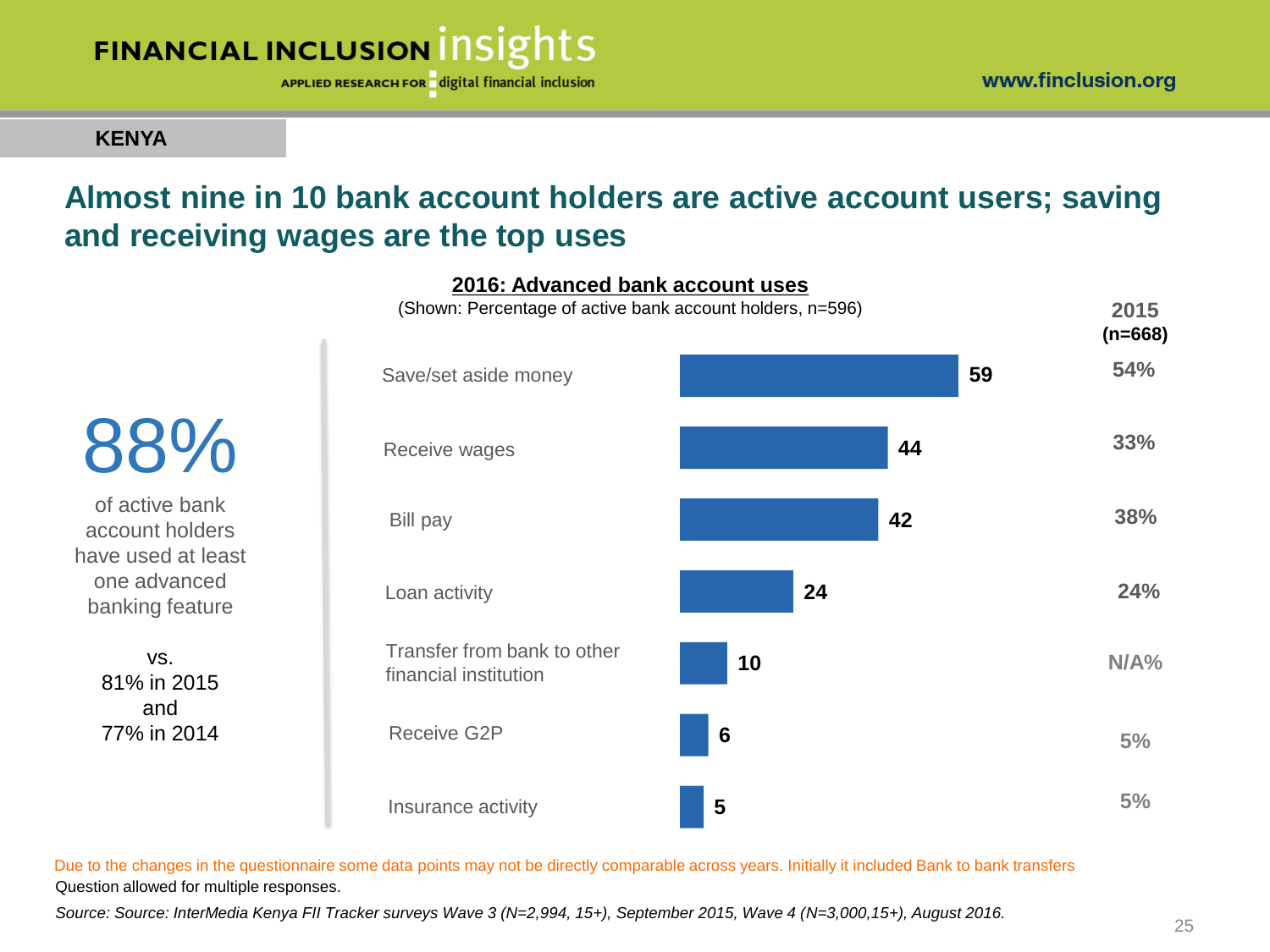

APPLIED RESEARCH FOR digital financial inclusion

### **KENYA**

vs. 81% in 2015 and 77% in 2014

### **Almost nine in 10 bank account holders are active account users; saving and receiving wages are the top uses**

**2016: Advanced bank account uses**

**59 44 42 24 10 6 5** Insurance activity Save/set aside money Bill pay Receive wages Receive G2P Loan activity Transfer from bank to other financial institution **2015 (n=668) 54% 38% N/A% 5% 5% 33% 24%** (Shown: Percentage of active bank account holders, n=596) 88% of active bank account holders have used at least one advanced banking feature

Question allowed for multiple responses. Due to the changes in the questionnaire some data points may not be directly comparable across years. Initially it included Bank to bank transfers

*Source: Source: InterMedia Kenya FII Tracker surveys Wave 3 (N=2,994, 15+), September 2015, Wave 4 (N=3,000,15+), August 2016.*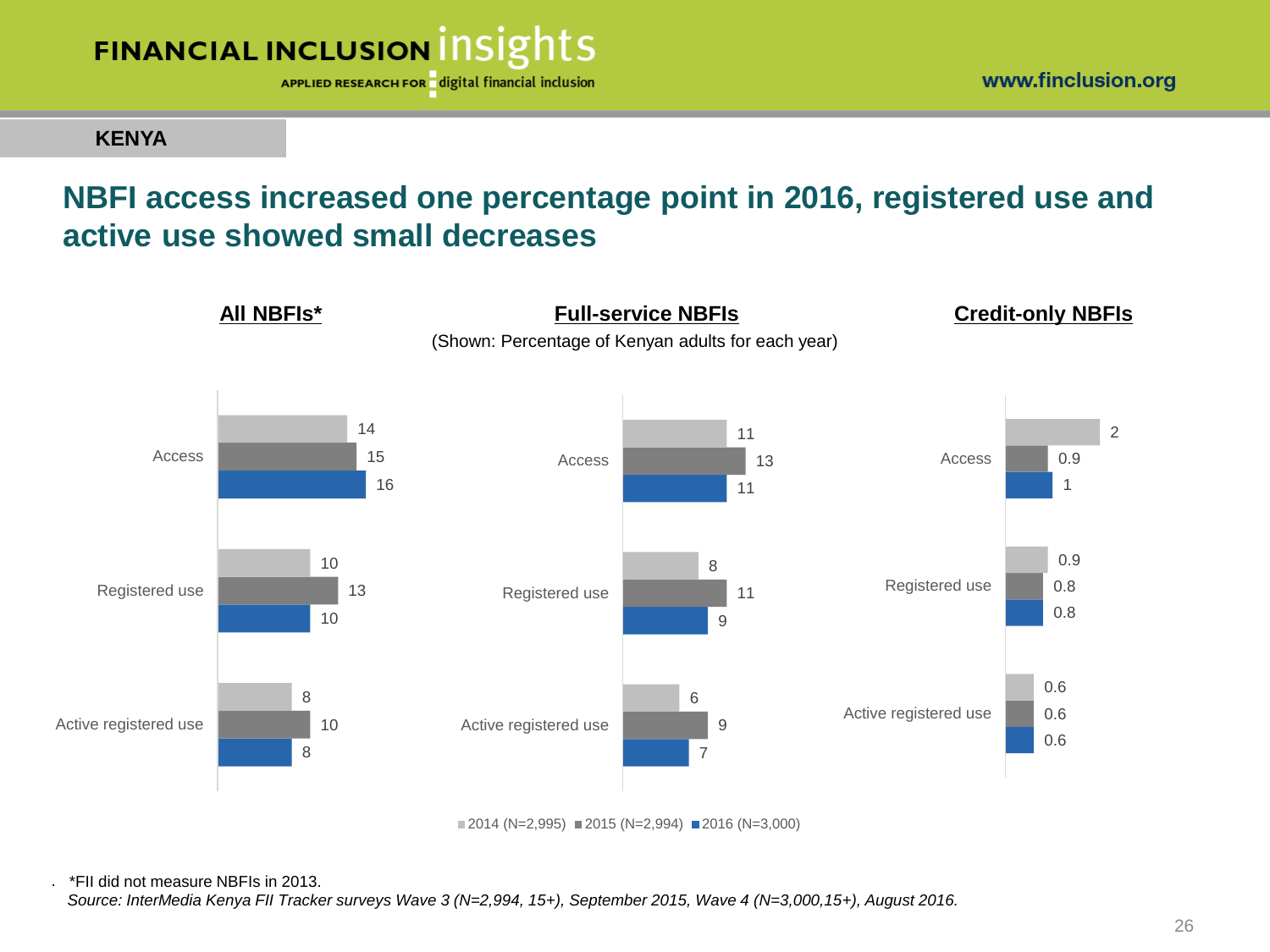

**KENYA**

### **NBFI access increased one percentage point in 2016, registered use and active use showed small decreases**



 $2014$  (N=2,995) 2015 (N=2,994) 2016 (N=3,000)

. \*FII did not measure NBFIs in 2013.

*Source: InterMedia Kenya FII Tracker surveys Wave 3 (N=2,994, 15+), September 2015, Wave 4 (N=3,000,15+), August 2016.*

www.finclusion.org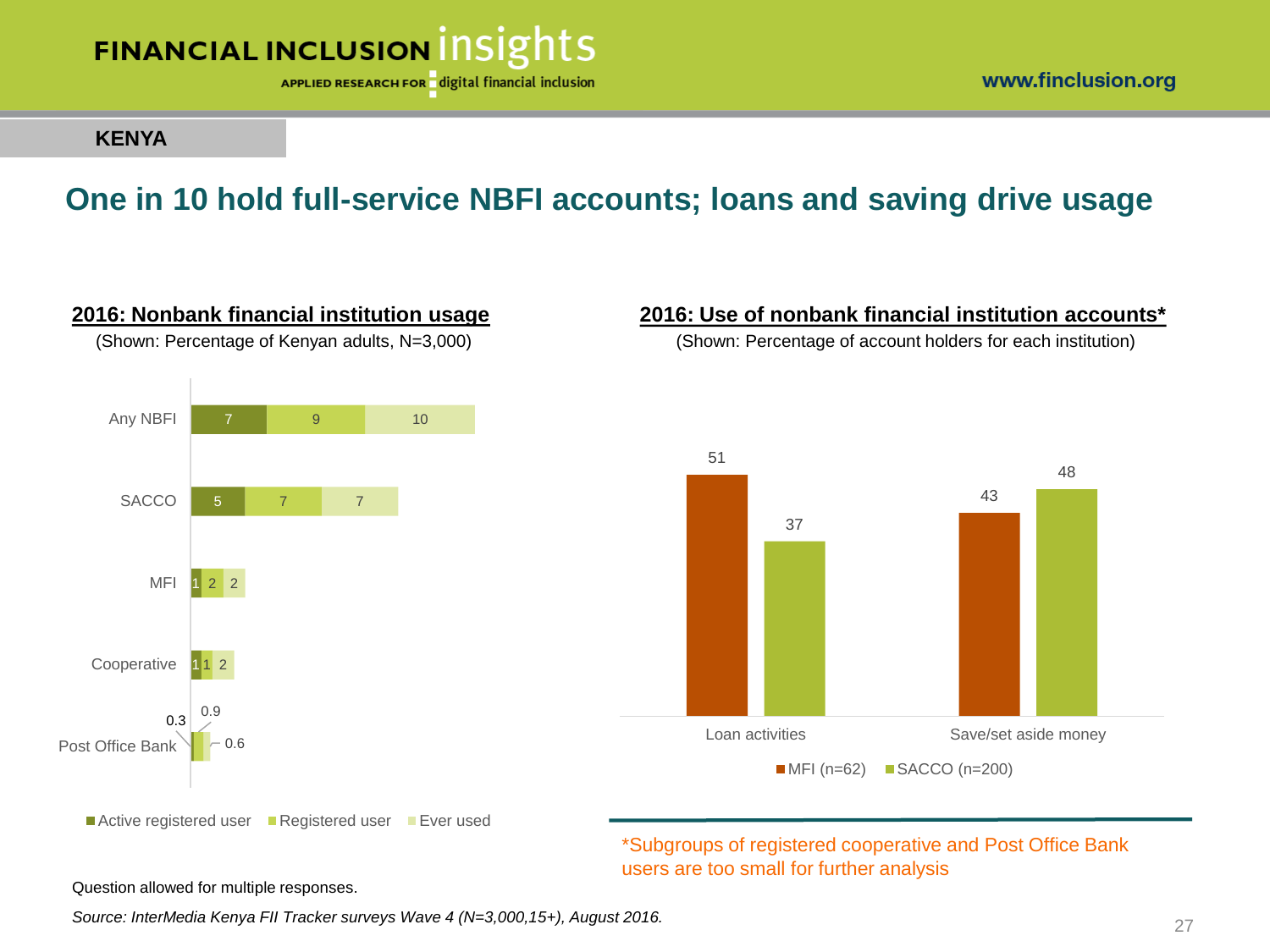

**2016: Nonbank financial institution usage** (Shown: Percentage of Kenyan adults, N=3,000)

APPLIED RESEARCH FOR digital financial inclusion

www.finclusion.org

**2016: Use of nonbank financial institution accounts\*** (Shown: Percentage of account holders for each institution)

#### **KENYA**

### **One in 10 hold full-service NBFI accounts; loans and saving drive usage**



users are too small for further analysis

Question allowed for multiple responses.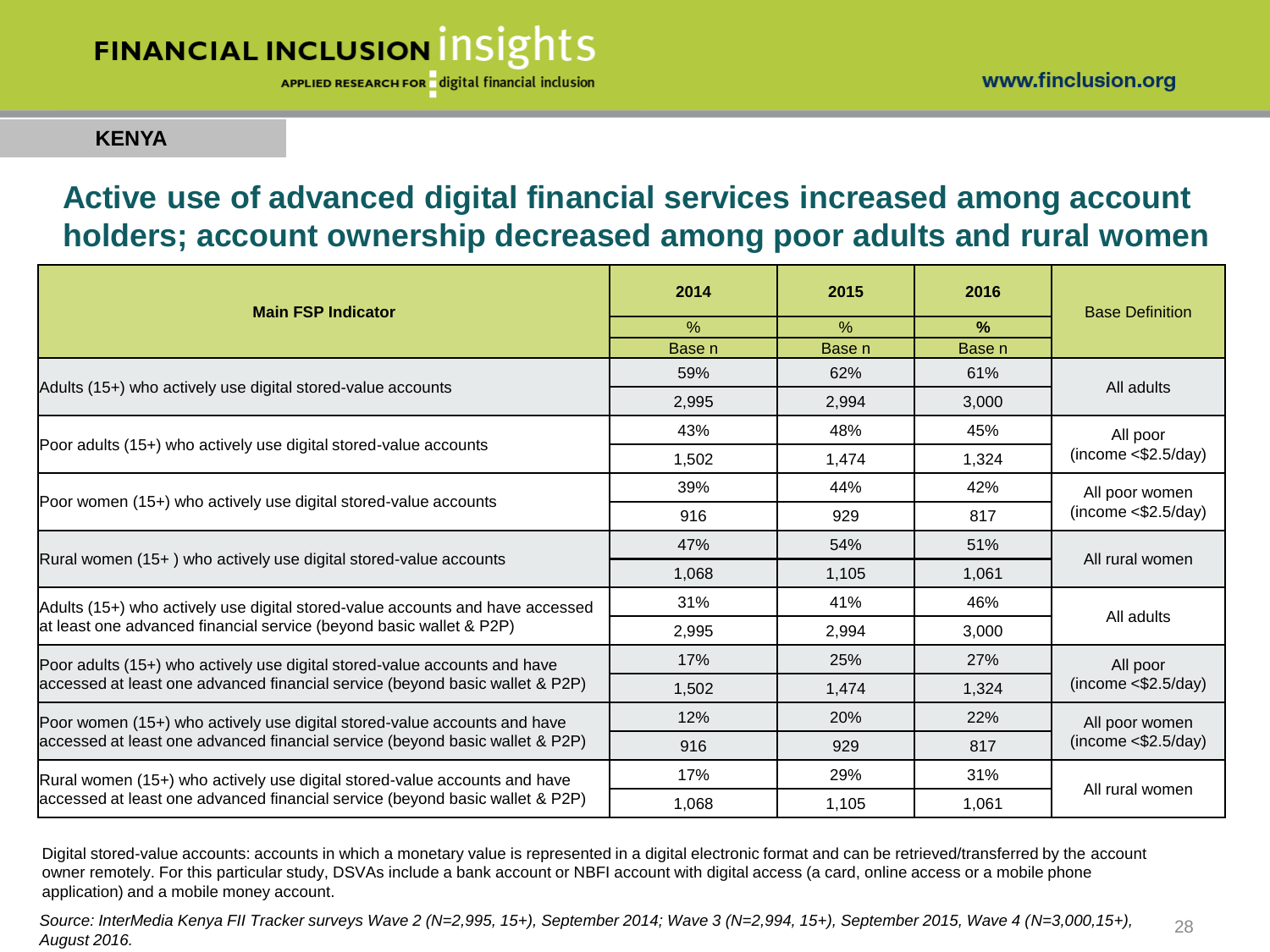APPLIED RESEARCH FOR digital financial inclusion

### **KENYA**

### **Active use of advanced digital financial services increased among account holders; account ownership decreased among poor adults and rural women**

| <b>Main FSP Indicator</b>                                                     | 2014              | 2015   | 2016              | <b>Base Definition</b>                 |  |
|-------------------------------------------------------------------------------|-------------------|--------|-------------------|----------------------------------------|--|
|                                                                               | $\%$              | $\%$   | $\%$              |                                        |  |
|                                                                               | Base <sub>n</sub> | Base n | Base <sub>n</sub> |                                        |  |
| Adults (15+) who actively use digital stored-value accounts                   | 59%               | 62%    | 61%               | All adults                             |  |
|                                                                               | 2,995             | 2,994  | 3,000             |                                        |  |
|                                                                               | 43%               | 48%    | 45%               | All poor<br>(income < \$2.5/day)       |  |
| Poor adults (15+) who actively use digital stored-value accounts              | 1,502             | 1,474  | 1,324             |                                        |  |
|                                                                               | 39%               | 44%    | 42%               | All poor women<br>(income < \$2.5/day) |  |
| Poor women (15+) who actively use digital stored-value accounts               | 916               | 929    | 817               |                                        |  |
|                                                                               | 47%               | 54%    | 51%               | All rural women                        |  |
| Rural women (15+) who actively use digital stored-value accounts              | 1,068             | 1,105  | 1,061             |                                        |  |
| Adults (15+) who actively use digital stored-value accounts and have accessed | 31%               | 41%    | 46%               | All adults                             |  |
| at least one advanced financial service (beyond basic wallet & P2P)           | 2,995             | 2,994  | 3,000             |                                        |  |
| Poor adults (15+) who actively use digital stored-value accounts and have     | 17%               | 25%    | 27%               | All poor<br>(income < \$2.5/day)       |  |
| accessed at least one advanced financial service (beyond basic wallet & P2P)  | 1,502             | 1,474  | 1,324             |                                        |  |
| Poor women (15+) who actively use digital stored-value accounts and have      | 12%               | 20%    | 22%               | All poor women<br>(income < \$2.5/day) |  |
| accessed at least one advanced financial service (beyond basic wallet & P2P)  | 916               | 929    | 817               |                                        |  |
| Rural women (15+) who actively use digital stored-value accounts and have     | 17%               | 29%    | 31%               |                                        |  |
| accessed at least one advanced financial service (beyond basic wallet & P2P)  | 1,068             | 1,105  | 1,061             | All rural women                        |  |

Digital stored-value accounts: accounts in which a monetary value is represented in a digital electronic format and can be retrieved/transferred by the account owner remotely. For this particular study, DSVAs include a bank account or NBFI account with digital access (a card, online access or a mobile phone application) and a mobile money account.

*Source: InterMedia Kenya FII Tracker surveys Wave 2 (N=2,995, 15+), September 2014; Wave 3 (N=2,994, 15+), September 2015, Wave 4 (N=3,000,15+), August 2016.* 28